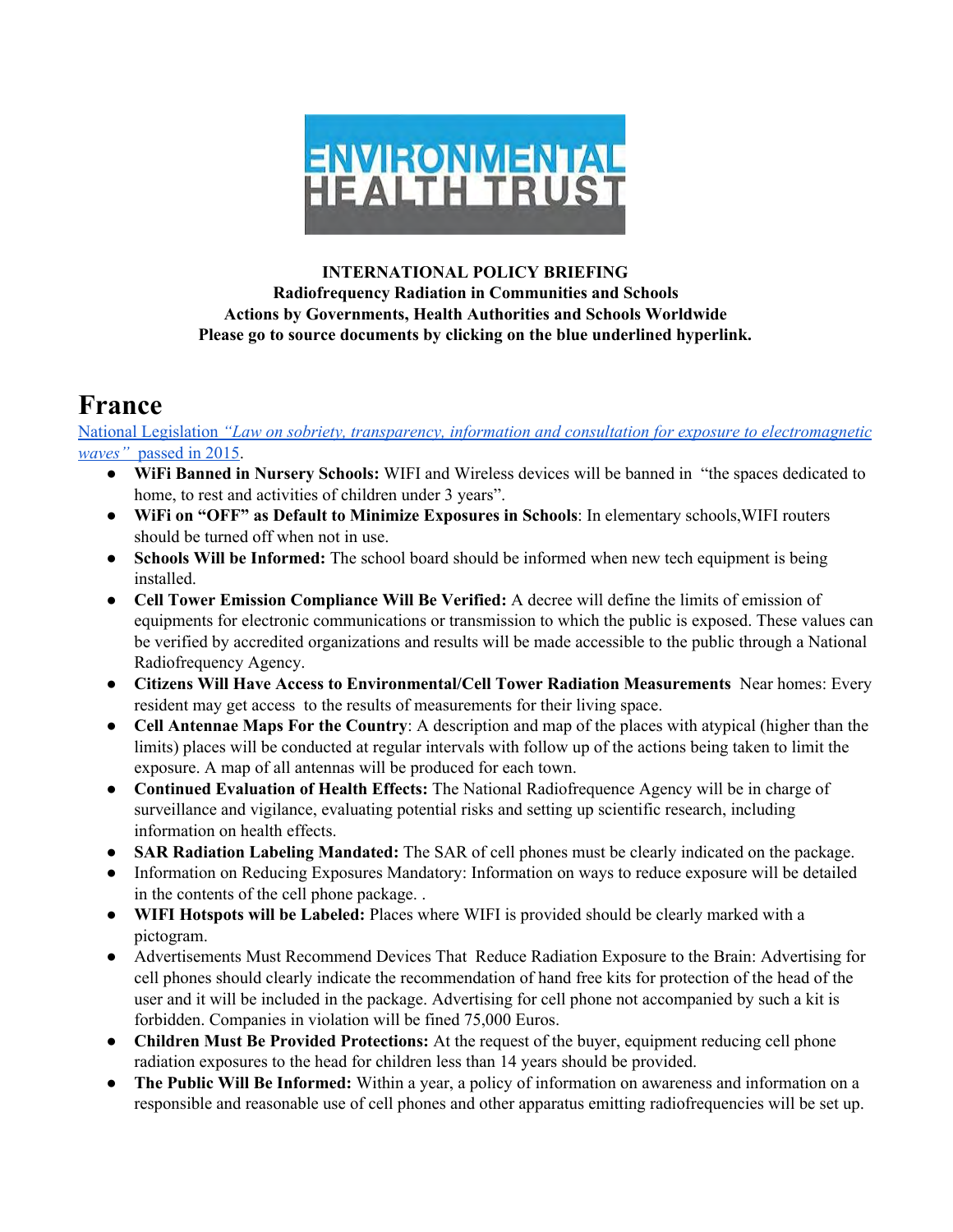

#### **INTERNATIONAL POLICY BRIEFING Radiofrequency Radiation in Communities and Schools Actions by Governments, Health Authorities and Schools Worldwide Please go to source documents by clicking on the blue underlined hyperlink.**

### **France**

National [Legislation](http://ehtrust.org/france-new-national-law-bans-wifi-nursery-school/) *"Law on sobriety, transparency, information and consultation for exposure to [electromagnetic](http://ehtrust.org/france-new-national-law-bans-wifi-nursery-school/) [waves"](http://ehtrust.org/france-new-national-law-bans-wifi-nursery-school/)* [passed](http://ehtrust.org/france-new-national-law-bans-wifi-nursery-school/) in 2015.

- **WiFi Banned in Nursery Schools:** WIFI and Wireless devices will be banned in "the spaces dedicated to home, to rest and activities of children under 3 years".
- **WiFi on "OFF" as Default to Minimize Exposures in Schools**: In elementary schools,WIFI routers should be turned off when not in use.
- **Schools Will be Informed:** The school board should be informed when new tech equipment is being installed.
- **Cell Tower Emission Compliance Will Be Verified:** A decree will define the limits of emission of equipments for electronic communications or transmission to which the public is exposed. These values can be verified by accredited organizations and results will be made accessible to the public through a National Radiofrequency Agency.
- **Citizens Will Have Access to Environmental/Cell Tower Radiation Measurements** Near homes: Every resident may get access to the results of measurements for their living space.
- **Cell Antennae Maps For the Country**: A description and map of the places with atypical (higher than the limits) places will be conducted at regular intervals with follow up of the actions being taken to limit the exposure. A map of all antennas will be produced for each town.
- **Continued Evaluation of Health Effects:** The National Radiofrequence Agency will be in charge of surveillance and vigilance, evaluating potential risks and setting up scientific research, including information on health effects.
- **SAR Radiation Labeling Mandated:** The SAR of cell phones must be clearly indicated on the package.
- Information on Reducing Exposures Mandatory: Information on ways to reduce exposure will be detailed in the contents of the cell phone package. .
- **WIFI Hotspots will be Labeled:** Places where WIFI is provided should be clearly marked with a pictogram.
- Advertisements Must Recommend Devices That Reduce Radiation Exposure to the Brain: Advertising for cell phones should clearly indicate the recommendation of hand free kits for protection of the head of the user and it will be included in the package. Advertising for cell phone not accompanied by such a kit is forbidden. Companies in violation will be fined 75,000 Euros.
- **Children Must Be Provided Protections:** At the request of the buyer, equipment reducing cell phone radiation exposures to the head for children less than 14 years should be provided.
- **The Public Will Be Informed:** Within a year, a policy of information on awareness and information on a responsible and reasonable use of cell phones and other apparatus emitting radiofrequencies will be set up.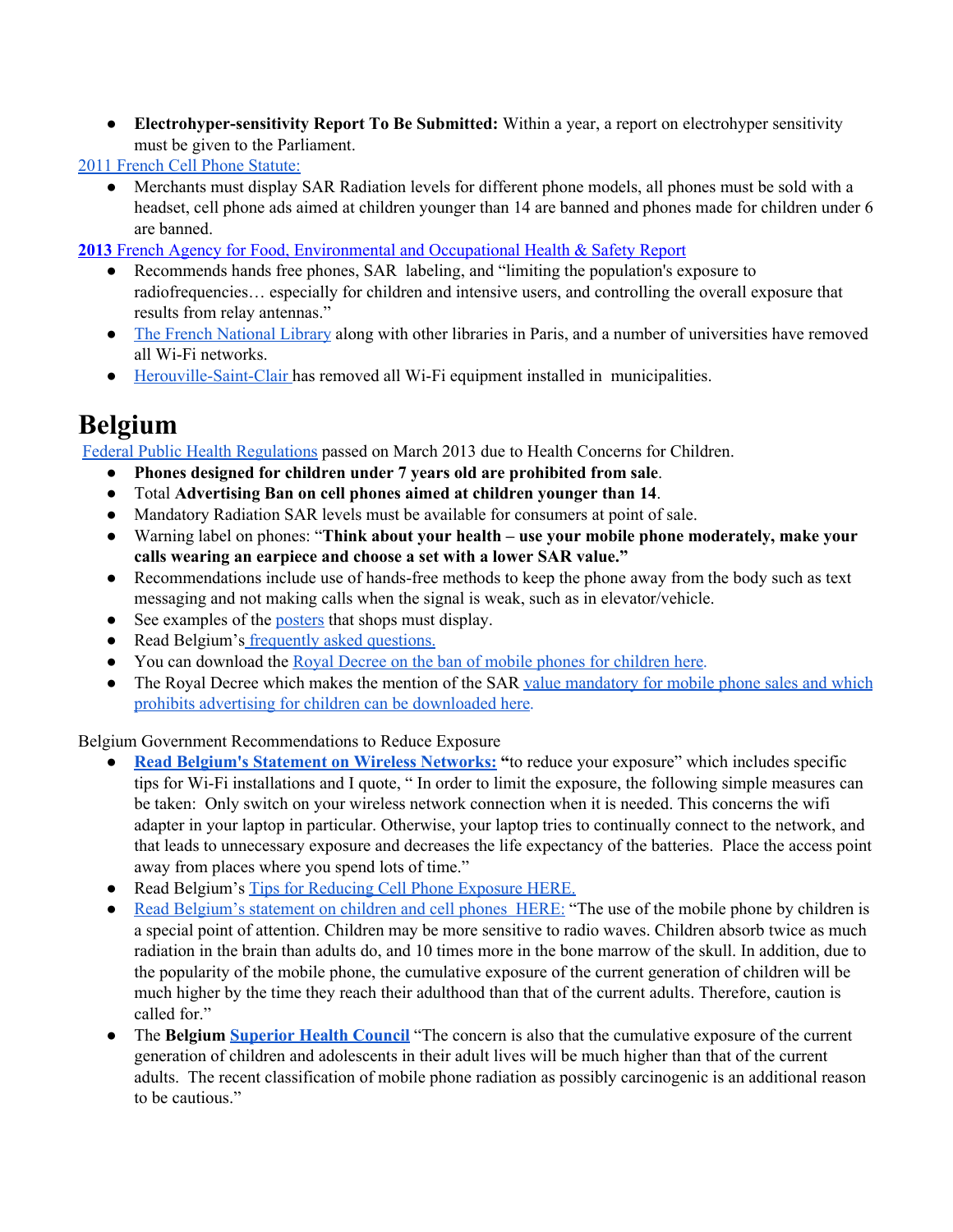● **Electrohyper-sensitivity Report To Be Submitted:** Within a year, a report on electrohyper sensitivity must be given to the Parliament.

2011 French Cell Phone [Statute:](http://www.ewg.org/enviroblog/2010/12/french-law-informs-protects-cell-phone-users)

● Merchants must display SAR Radiation levels for different phone models, all phones must be sold with a headset, cell phone ads aimed at children younger than 14 are banned and phones made for children under 6 are banned.

**[2013](https://www.anses.fr/en/content/anses-issues-recommendations-limiting-exposure-radiofrequencies)** French Agency for Food, [Environmental](https://www.anses.fr/en/content/anses-issues-recommendations-limiting-exposure-radiofrequencies) and Occupational Health & Safety [Report](https://www.anses.fr/en/content/anses-issues-recommendations-limiting-exposure-radiofrequencies) <br>• Recommends hands free phones. SAR labeling, and "limiting the nonulation's ex-

- Recommends hands free phones, SAR labeling, and "limiting the population's exposure to radiofrequencies… especially for children and intensive users, and controlling the overall exposure that results from relay antennas."
- The French [National](http://www.robindestoits.org/La-Bibliotheque-Nationale-de-France-renonce-au-WiFi-Supap-FSU-Avril-2008_a283.html) Library along with other libraries in Paris, and a number of universities have removed all Wi-Fi networks.
- [Herouville-Saint-Clair](http://www.herouville.net/Le-retrait-du-Wifi-dans-les-ecoles) has removed all Wi-Fi equipment installed in municipalities.

# **Belgium**

Federal Public Health [Regulations](http://health.belgium.be/eportal/19089508_FR?fodnlang=fr#.UzcMKYUdlYl) passed on March 2013 due to Health Concerns for Children.

- **Phones designed for children under 7 years old are prohibited from sale**.
- Total **Advertising Ban on cell phones aimed at children younger than <sup>14</sup>**.
- Mandatory Radiation SAR levels must be available for consumers at point of sale.
- Warning label on phones: "**Think about your health – use your mobile phone moderately, make your calls wearing an earpiece and choose a set with a lower SAR value."**
- Recommendations include use of hands-free methods to keep the phone away from the body such as text messaging and not making calls when the signal is weak, such as in elevator/vehicle.
- See examples of the [posters](http://www.health.belgium.be/filestore/19096037/Affiches-posters.zip) that shops must display.
- Read Belgium's [frequently](http://www.health.belgium.be/filestore/19097335_EN/FAQ%20KD%20mobile%20phone%20version5.pdf) asked questions.
- You can download the Royal Decree on the ban of mobile phones for [children](http://www.health.belgium.be/filestore/19088468/KB_verbod_kindergsm_30aug_2013.pdf) here.
- The Royal Decree which makes the mention of the SAR value [mandatory](http://www.health.belgium.be/filestore/19089024/KB_SAR_en_verbod_reclame_30aug_2013.pdf) for mobile phone sales and which prohibits advertising for children can be [downloaded](http://www.health.belgium.be/filestore/19089024/KB_SAR_en_verbod_reclame_30aug_2013.pdf) here.

Belgium Government Recommendations to Reduce Exposure

- **Read Belgium's Statement on Wireless [Networks:](http://www.health.belgium.be/internet2Prd/groups/public/@public/@mixednews/documents/ie2divers/19104272_en.pdf) "**to reduce your exposure" which includes specific tips for Wi-Fi installations and I quote, " In order to limit the exposure, the following simple measures can be taken: Only switch on your wireless network connection when it is needed. This concerns the wifi adapter in your laptop in particular. Otherwise, your laptop tries to continually connect to the network, and that leads to unnecessary exposure and decreases the life expectancy of the batteries. Place the access point away from places where you spend lots of time."
- Read Belgium's Tips for [Reducing](http://www.health.belgium.be/eportal/Environment/ElectroWavesAndNoise/ElectromagneticRadiation/MobilePhone/TipsForPrudentUse/index.htm#.VnIUX0orK1I) Cell Phone Exposure HERE.
- Read [Belgium's](http://www.health.belgium.be/eportal/Environment/ElectroWavesAndNoise/ElectromagneticRadiation/MobilePhone/MobilePhonesAndChildren/index.htm#.VnIU3UorK1I) statement on children and cell phones HERE: "The use of the mobile phone by children is a special point of attention. Children may be more sensitive to radio waves. Children absorb twice as much radiation in the brain than adults do, and 10 times more in the bone marrow of the skull. In addition, due to the popularity of the mobile phone, the cumulative exposure of the current generation of children will be much higher by the time they reach their adulthood than that of the current adults. Therefore, caution is called for."
- The **Belgium [Superior](http://www.health.belgium.be/eportal/Aboutus/relatedinstitutions/SuperiorHealthCouncil/index.htm?fodnlang=en) Health Council** "The concern is also that the cumulative exposure of the current generation of children and adolescents in their adult lives will be much higher than that of the current adults. The recent classification of mobile phone radiation as possibly carcinogenic is an additional reason to be cautious."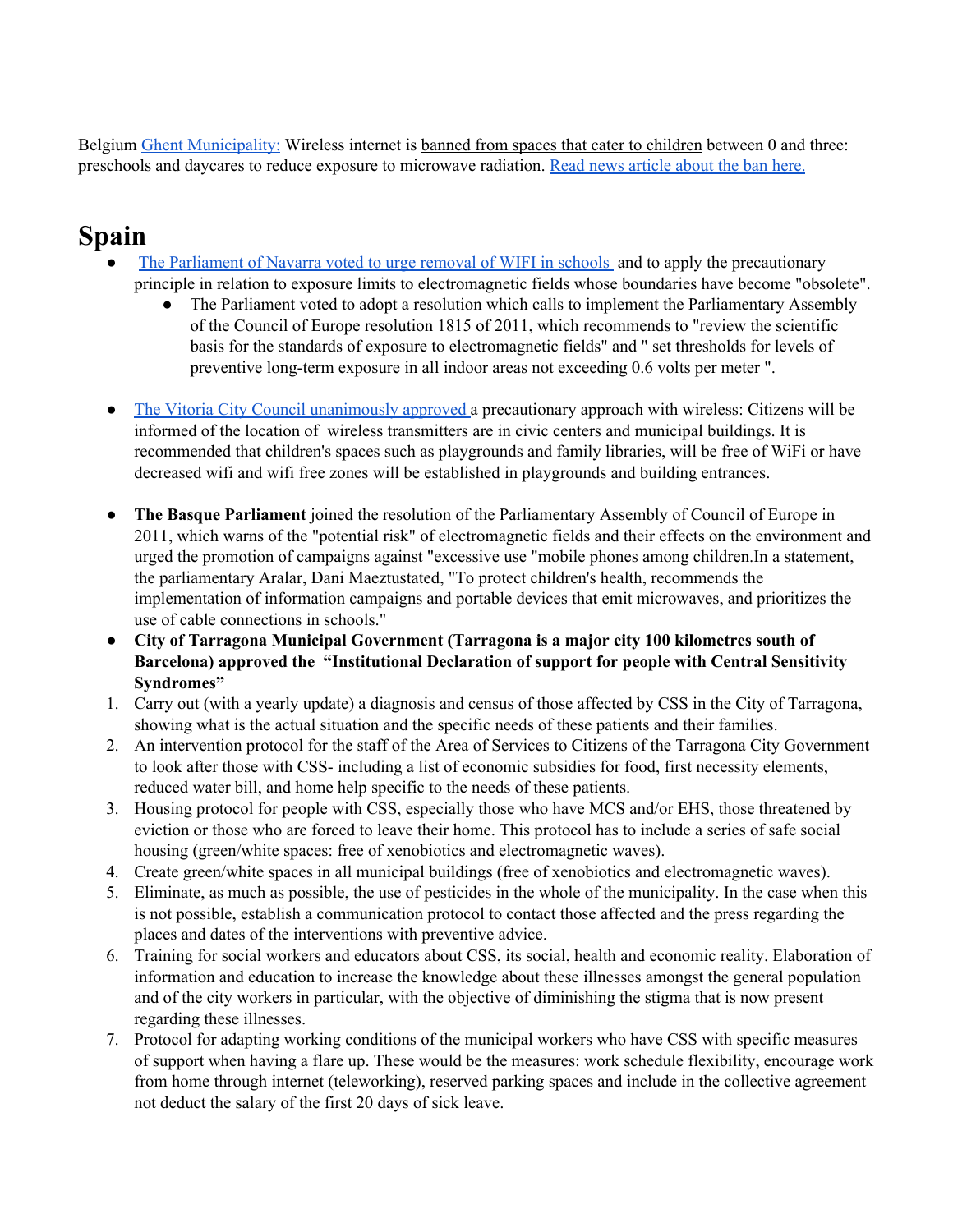Belgium Ghent [Municipality:](http://www.flanderstoday.eu/education/ghent-bans-wi-fi-pre-schools-and-day-care) Wireless internet is banned from spaces that cater to children between 0 and three: preschools and daycares to reduce exposure to microwave radiation. Read news [article](http://www.flanderstoday.eu/education/ghent-bans-wi-fi-pre-schools-and-day-care) about the ban here.

# **Spain**

- The [Parliament](http://www.tercerainformacion.es/spip.php?article74999) of Navarra voted to urge removal of WIFI in schools and to apply the precautionary principle in relation to exposure limits to electromagnetic fields whose boundaries have become "obsolete".
	- The Parliament voted to adopt a resolution which calls to implement the Parliamentary Assembly of the Council of Europe resolution 1815 of 2011, which recommends to "review the scientific basis for the standards of exposure to electromagnetic fields" and " set thresholds for levels of preventive long-term exposure in all indoor areas not exceeding 0.6 volts per meter ".
- The Vitoria City Council [unanimously](http://www.elmundo.es/pais-vasco/2015/09/26/5606c8eaca4741a7658b4590.html) approved a precautionary approach with wireless: Citizens will be informed of the location of wireless transmitters are in civic centers and municipal buildings. It is recommended that children's spaces such as playgrounds and family libraries, will be free of WiFi or have decreased wifi and wifi free zones will be established in playgrounds and building entrances.
- **The Basque Parliament** joined the resolution of the Parliamentary Assembly of Council of Europe in 2011, which warns of the "potential risk" of electromagnetic fields and their effects on the environment and urged the promotion of campaigns against "excessive use "mobile phones among children.In a statement, the parliamentary Aralar, Dani Maeztustated, "To protect children's health, recommends the implementation of information campaigns and portable devices that emit microwaves, and prioritizes the use of cable connections in schools."
- **City of Tarragona Municipal Government (Tarragona is a major city 100 kilometres south of Barcelona) approved the "Institutional Declaration of support for people with Central Sensitivity Syndromes"**
- 1. Carry out (with a yearly update) a diagnosis and census of those affected by CSS in the City of Tarragona, showing what is the actual situation and the specific needs of these patients and their families.
- 2. An intervention protocol for the staff of the Area of Services to Citizens of the Tarragona City Government to look after those with CSS- including a list of economic subsidies for food, first necessity elements, reduced water bill, and home help specific to the needs of these patients.
- 3. Housing protocol for people with CSS, especially those who have MCS and/or EHS, those threatened by eviction or those who are forced to leave their home. This protocol has to include a series of safe social housing (green/white spaces: free of xenobiotics and electromagnetic waves).
- 4. Create green/white spaces in all municipal buildings (free of xenobiotics and electromagnetic waves).
- 5. Eliminate, as much as possible, the use of pesticides in the whole of the municipality. In the case when this is not possible, establish a communication protocol to contact those affected and the press regarding the places and dates of the interventions with preventive advice.
- 6. Training for social workers and educators about CSS, its social, health and economic reality. Elaboration of information and education to increase the knowledge about these illnesses amongst the general population and of the city workers in particular, with the objective of diminishing the stigma that is now present regarding these illnesses.
- 7. Protocol for adapting working conditions of the municipal workers who have CSS with specific measures of support when having a flare up. These would be the measures: work schedule flexibility, encourage work from home through internet (teleworking), reserved parking spaces and include in the collective agreement not deduct the salary of the first 20 days of sick leave.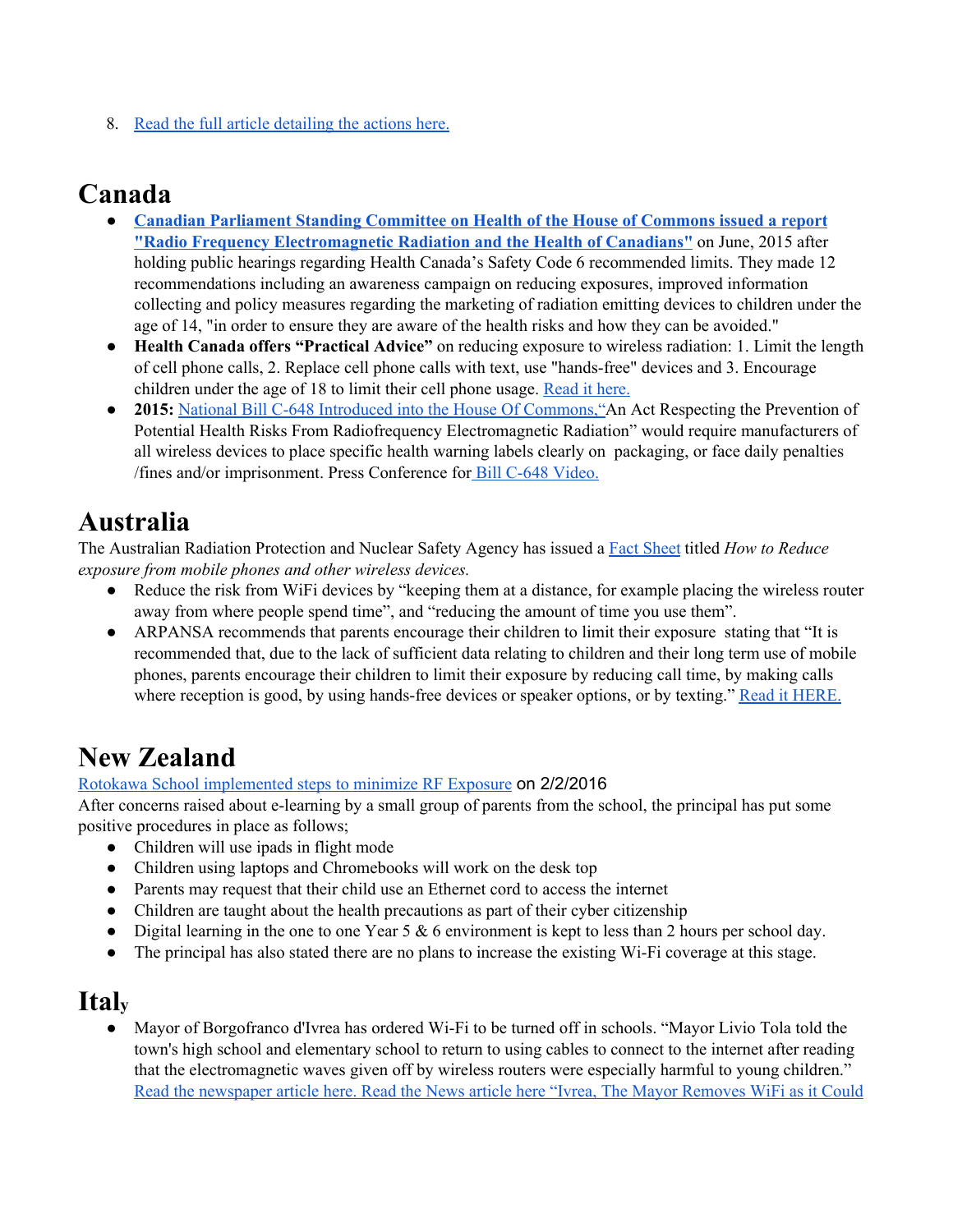8. Read the full article [detailing](https://afectadasporlosrecortessanitarios.wordpress.com/2015/11/29/good-news-first-rescue-plan-for-people-with-css/) the actions here.

# **Canada**

- **Canadian [Parliament](http://c4st.org/HESARecommendations) Standing Committee on Health of the House of Commons issued a report "Radio Frequency [Electromagnetic](http://c4st.org/HESARecommendations) Radiation and the Health of Canadians"** on June, 2015 after holding public hearings regarding Health Canada's Safety Code 6 recommended limits. They made 12 recommendations including an awareness campaign on reducing exposures, improved information collecting and policy measures regarding the marketing of radiation emitting devices to children under the age of 14, "in order to ensure they are aware of the health risks and how they can be avoided."
- **Health Canada offers "Practical Advice"** on reducing exposure to wireless radiation: 1. Limit the length of cell phone calls, 2. Replace cell phone calls with text, use "hands-free" devices and 3. Encourage children under the age of 18 to limit their cell phone usage. [Read](http://www.healthycanadians.gc.ca/recall-alert-rappel-avis/hc-sc/2011/13548a-eng.php) it here.
- **2015:** National Bill C-648 Introduced into the House Of [Commons,"](http://c4st.org/PMB)An Act Respecting the Prevention of Potential Health Risks From Radiofrequency Electromagnetic Radiation" would require manufacturers of all wireless devices to place specific health warning labels clearly on packaging, or face daily penalties /fines and/or imprisonment. Press Conference for Bill C-648 [Video.](https://www.youtube.com/watch?time_continue=72&v=jClEoMwQOn0)

# **Australia**

The Australian Radiation Protection and Nuclear Safety Agency has issued a Fact [Sheet](http://www.arpansa.gov.au/pubs/factsheets/ReduceExposure_wirelessDevices.pdf) titled *How to Reduce exposure from mobile phones and other wireless devices.*

- Reduce the risk from WiFi devices by "keeping them at a distance, for example placing the wireless router away from where people spend time", and "reducing the amount of time you use them".
- ARPANSA recommends that parents encourage their children to limit their exposure stating that "It is recommended that, due to the lack of sufficient data relating to children and their long term use of mobile phones, parents encourage their children to limit their exposure by reducing call time, by making calls where reception is good, by using hands-free devices or speaker options, or by texting." Read it [HERE.](http://www.arpansa.gov.au/mobilephones/index.cfm)

# **New Zealand**

#### Rotokawa School [implemented](https://www.facebook.com/933802370033560/posts/963008077112989/) steps to minimize RF Exposure on 2/2/201[6](https://www.facebook.com/pages/Rotorua-New-Zealand/108591779171708)

After concerns raised about e-learning by a small group of parents from the school, the principal has put some positive procedures in place as follows;

- Children will use ipads in flight mode
- Children using laptops and Chromebooks will work on the desk top
- Parents may request that their child use an Ethernet cord to access the internet
- Children are taught about the health precautions as part of their cyber citizenship
- Digital learning in the one to one Year  $5 & 6$  environment is kept to less than 2 hours per school day.
- The principal has also stated there are no plans to increase the existing Wi-Fi coverage at this stage.

# **Ital<sup>y</sup>**

Mayor of Borgofranco d'Ivrea has ordered Wi-Fi to be turned off in schools. "Mayor Livio Tola told the town's high school and elementary school to return to using cables to connect to the internet after reading that the electromagnetic waves given off by wireless routers were especially harmful to young children." Read the [newspaper](http://www.thelocal.it/20160108/italy-town-turns-off-school-wifi-over-health-concerns) article here. Read the News article here "Ivrea, The Mayor [Removes](http://torino.repubblica.it/cronaca/2016/01/07/news/il_sindaco_fa_togliere_il_wi-fi_dalla_scuola_potrebbe_essere_pericoloso_-130787972/) WiFi as it Could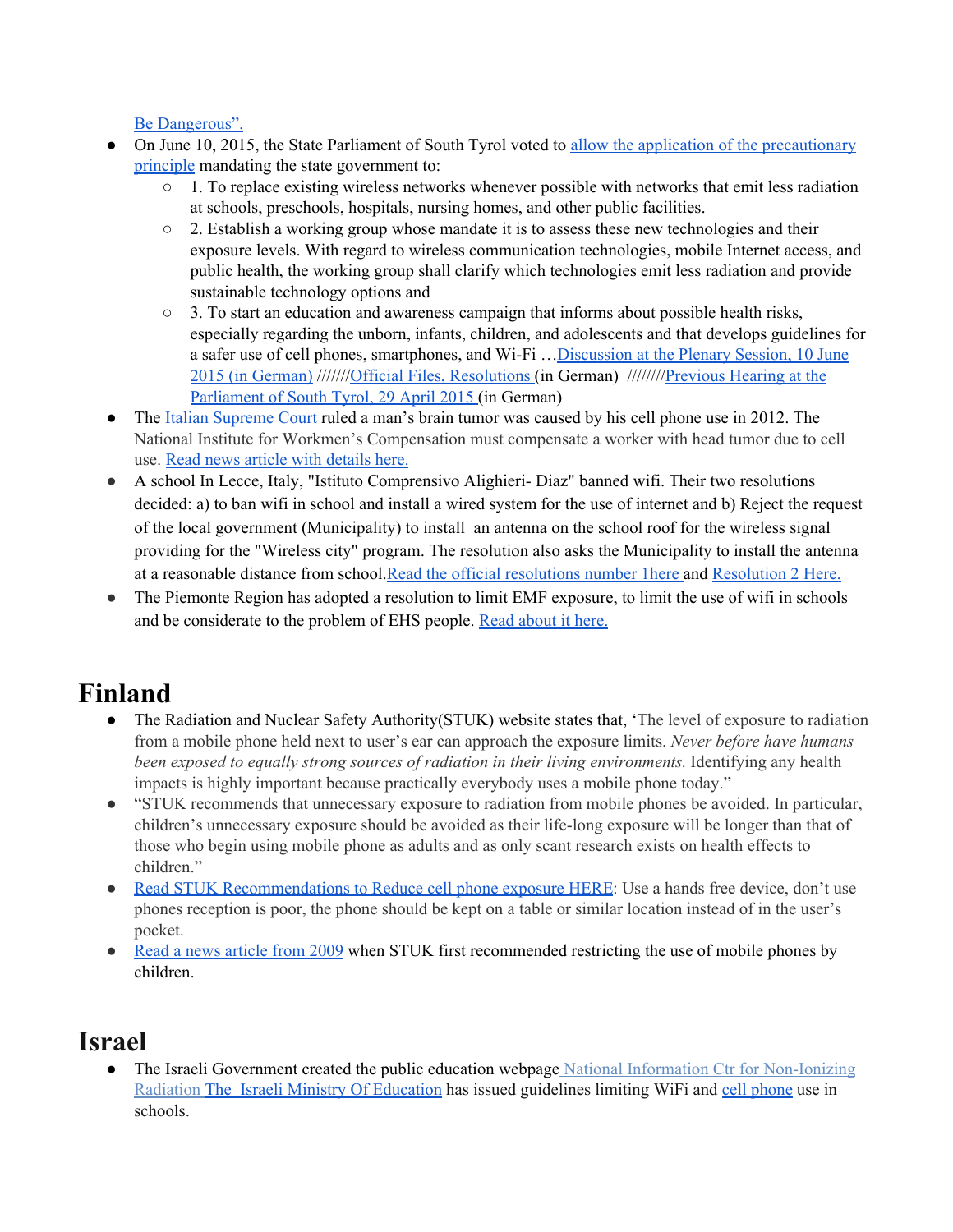Be [Dangerous".](http://torino.repubblica.it/cronaca/2016/01/07/news/il_sindaco_fa_togliere_il_wi-fi_dalla_scuola_potrebbe_essere_pericoloso_-130787972/)

- On June 10, 2015, the State Parliament of South Tyrol voted to allow the application of the [precautionary](http://kompetenzinitiative.net/KIT/KIT/progress-in-south-tyrol-applying-the-precautionary-principle/) [principle](http://kompetenzinitiative.net/KIT/KIT/progress-in-south-tyrol-applying-the-precautionary-principle/) mandating the state government to:
	- $\circ$  1. To replace existing wireless networks whenever possible with networks that emit less radiation at schools, preschools, hospitals, nursing homes, and other public facilities.
	- $\circ$  2. Establish a working group whose mandate it is to assess these new technologies and their exposure levels. With regard to wireless communication technologies, mobile Internet access, and public health, the working group shall clarify which technologies emit less radiation and provide sustainable technology options and
	- $\circ$  3. To start an education and awareness campaign that informs about possible health risks, especially regarding the unborn, infants, children, and adolescents and that develops guidelines for a safer use of cell phones, smartphones, and Wi-Fi […Discussion](http://www.landtag-bz.org/de/datenbanken-sammlungen/landtag.asp?archiv_action=4&archiv_article_id=502193) at the Plenary Session, 10 June 2015 (in [German\)](http://www.landtag-bz.org/de/datenbanken-sammlungen/landtag.asp?archiv_action=4&archiv_article_id=502193) ///////Official Files, [Resolutions](http://www2.landtag-bz.org/de/datenbanken/akte/angaben_akt.asp?pagetype=fogl&app=idap&at_id=346630&blank=Y) (in German) ////////[Previous](http://kompetenzinitiative.net/KIT/KIT/landtag-suedtirol-anhoerung-zu-den-auswirkungen-des-mobilfunks/) Hearing at the [Parliament](http://kompetenzinitiative.net/KIT/KIT/landtag-suedtirol-anhoerung-zu-den-auswirkungen-des-mobilfunks/) of South Tyrol, 29 April 2015 (in German)
- The Italian [Supreme](http://rt.com/news/italy-phone-causes-tumor-840/) Court ruled a man's brain tumor was caused by his cell phone use in 2012. The National Institute for Workmen's Compensation must compensate a worker with head tumor due to cell use. Read news article with [details](https://www.rt.com/news/italy-phone-causes-tumor-840/) here.
- A school In Lecce, Italy, "Istituto Comprensivo Alighieri- Diaz" banned wifi. Their two resolutions decided: a) to ban wifi in school and install a wired system for the use of internet and b) Reject the request of the local government (Municipality) to install an antenna on the school roof for the wireless signal providing for the "Wireless city" program. The resolution also asks the Municipality to install the antenna at a reasonable distance from school.Read the official [resolutions](https://www.albipretorionline.com/albopretorioPF3/frontend/atto.xhtml?codcli=SC26862&idatto=131721) number 1here and [Resolution](https://www.albipretorionline.com/albopretorioPF3/frontend/atto.xhtml?codcli=SC26862&idatto=131721) 2 Here.
- The Piemonte Region has adopted a resolution to limit EMF exposure, to limit the use of wifi in schools and be considerate to the problem of EHS people. Read [about](http://www.cr.piemonte.it/mzodgint/jsp/AttoSelezionato.jsp?ATTO=100500) it here.

# **Finland**

- The Radiation and Nuclear Safety Authority(STUK) website states that, 'The level of exposure to radiation from a mobile phone held next to user's ear can approach the exposure limits. *Never before have humans been exposed to equally strong sources of radiation in their living environments.* Identifying any health impacts is highly important because practically everybody uses a mobile phone today."
- "STUK recommends that unnecessary exposure to radiation from mobile phones be avoided. In particular, children's unnecessary exposure should be avoided as their life-long exposure will be longer than that of those who begin using mobile phone as adults and as only scant research exists on health effects to children."
- Read STUK [Recommendations](http://www.stuk.fi/web/en/topics/mobile-telephones-and-base-stations/how-to-reduce-your-exposure) to Reduce cell phone exposure HERE: Use a hands free [device,](http://www.stuk.fi/web/en/topics/mobile-telephones-and-base-stations/how-to-reduce-your-exposure) don't use phones [reception](http://www.stuk.fi/web/en/topics/mobile-telephones-and-base-stations/how-to-reduce-your-exposure) is poor, the phone should be kept on a table or similar location instead of in the user's [pocket.](http://www.stuk.fi/web/en/topics/mobile-telephones-and-base-stations/how-to-reduce-your-exposure)
- Read a news [article](http://yle.fi/uutiset/authority_recommends_restricting_childrens_use_of_mobiles/466353) from 2009 when STUK first recommended restricting the use of mobile phones by children.

# **Israel**

The Israeli Government created the public education webpage National Information Ctr for [Non-Ionizing](http://www.tnuda.org.il/) [Radiation](http://www.tnuda.org.il/) [The](http://cms.education.gov.il/EducationCMS/Applications/Mankal/EtsMedorim/3/3-6/HoraotKeva/K-2013-3-3-6-11.htm) Israeli Ministry Of [Education](http://cms.education.gov.il/EducationCMS/Applications/Mankal/EtsMedorim/3/3-6/HoraotKeva/K-2013-3-3-6-11.htm) has issued guidelines limiting WiFi and cell [phone](http://www.haaretz.com/business/knesset-backs-bill-requiring-cell-phones-to-bear-health-hazard-warning-1.415677#.T0-qY-dnfqM.twitter) use in schools.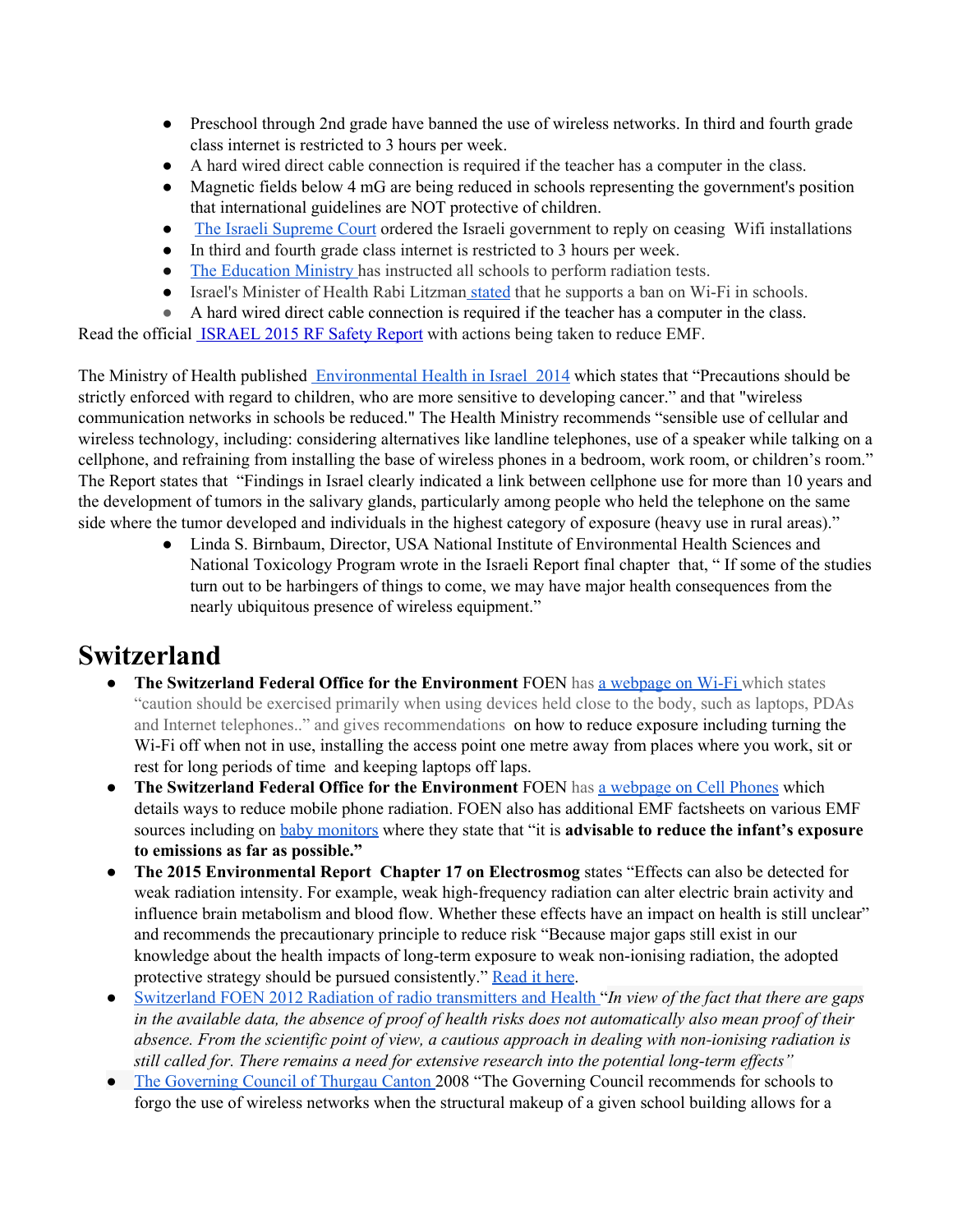- Preschool through 2nd grade have banned the use of wireless networks. In third and fourth grade class internet is restricted to 3 hours per week.
- A hard wired direct cable connection is required if the teacher has a computer in the class.
- Magnetic fields below 4 mG are being reduced in schools representing the government's position that international guidelines are NOT protective of children.
- The Israeli [Supreme](http://www.emfacts.com/2013/07/the-israeli-supreme-court-ordered-the-israeli-government-to-investigate-the-number-of-children-currently-suffering-from-ehs/) Court ordered the Israeli government to reply on ceasing Wifi installations
- In third and fourth grade class internet is restricted to 3 hours per week.
- The [Education](http://bit.ly/1nEPSes) Ministry has instructed all schools to perform radiation tests.
- Israel's Minister of Health Rabi Litzman [stated](http://www.timesofisrael.com/stop-wi-fi-in-schools-deputy-health-minister-implores/) that he supports a ban on Wi-Fi in schools.
- A hard wired direct cable connection is required if the teacher has a computer in the class.

Read the official [ISRAEL](http://nebula.wsimg.com/76023f6c1afa37f38fdabe8facbefd91?AccessKeyId=045114F8E0676B9465FB&disposition=0&alloworigin=1) 2015 RF Safety Report with actions being taken to reduce EMF.

The Ministry of Health published [Environmental](http://www.health.gov.il/publicationsfiles/bsv_sviva2014e.pdf) Health in Israel 2014 which states that "Precautions should be strictly enforced with regard to children, who are more sensitive to developing cancer." and that "wireless communication networks in schools be reduced." The Health Ministry recommends "sensible use of cellular and wireless technology, including: considering alternatives like landline telephones, use of a speaker while talking on a cellphone, and refraining from installing the base of wireless phones in a bedroom, work room, or children's room." The Report states that "Findings in Israel clearly indicated a link between cellphone use for more than 10 years and the development of tumors in the salivary glands, particularly among people who held the telephone on the same side where the tumor developed and individuals in the highest category of exposure (heavy use in rural areas)."

> ● Linda S. Birnbaum, Director, USA National Institute of Environmental Health Sciences and National Toxicology Program wrote in the Israeli Report final chapter that, " If some of the studies turn out to be harbingers of things to come, we may have major health consequences from the nearly ubiquitous presence of wireless equipment."

### **Switzerland**

- **The Switzerland Federal Office for the Environment** FOEN has a [webpage](http://www.bag.admin.ch/themen/strahlung/00053/00673/03570/index.html?lang=en) on Wi-Fi which states "caution should be exercised primarily when using devices held close to the body, such as laptops, PDAs and Internet telephones.." and gives recommendations on how to reduce exposure including turning the Wi-Fi off when not in use, installing the access point one metre away from places where you work, sit or rest for long periods of time and keeping laptops off laps.
- **The Switzerland Federal Office for the Environment** FOEN has a [webpage](http://www.bag.admin.ch/themen/strahlung/00053/00673/04265/index.html?lang=en) on Cell [Phones](http://www.bag.admin.ch/themen/strahlung/00053/00673/04265/index.html?lang=en) [w](http://www.bag.admin.ch/themen/strahlung/00053/00673/04265/index.html?lang=en)hich details ways to reduce mobile phone radiation. FOEN also has additional EMF factsheets on various EMF sources including on baby [monitors](http://www.bag.admin.ch/themen/strahlung/00053/00673/03012/index.html?lang=en) where they state that "it is **advisable to reduce the infant's exposure to emissions as far as possible."**
- **The 2015 Environmental Report Chapter 17 on Electrosmog** states "Effects can also be detected for weak radiation intensity. For example, weak high-frequency radiation can alter electric brain activity and influence brain metabolism and blood flow. Whether these effects have an impact on health is still unclear" and recommends the precautionary principle to reduce risk "Because major gaps still exist in our knowledge about the health impacts of long-term exposure to weak non-ionising radiation, the adopted protective strategy should be pursued consistently." [Read](http://issuu.com/bundesamt-fuer-umwelt-bafu/docs/environment_switzerland_2015) it here.
- [Switzerland](http://www.bafu.admin.ch/publikationen/publikation/01739/index.html?lang=de) FOEN 2012 Radiation of radio [transmitters](http://www.bafu.admin.ch/publikationen/publikation/01739/index.html?lang=de) and Health "*In view of the fact that there are gaps* in the available data, the absence of proof of health risks does not automatically also mean proof of their *absence. From the scientific point of view, a cautious approach in dealing with non-ionising radiation is still called for. There remains a need for extensive research into the potential long-term effects"*
- *●* The [Governing](http://safeschool.ca/Evidence__Switzerland.html) Council of Thurgau Canton 2008 "The Governing Council recommends for schools to forgo the use of wireless networks when the structural makeup of a given school building allows for a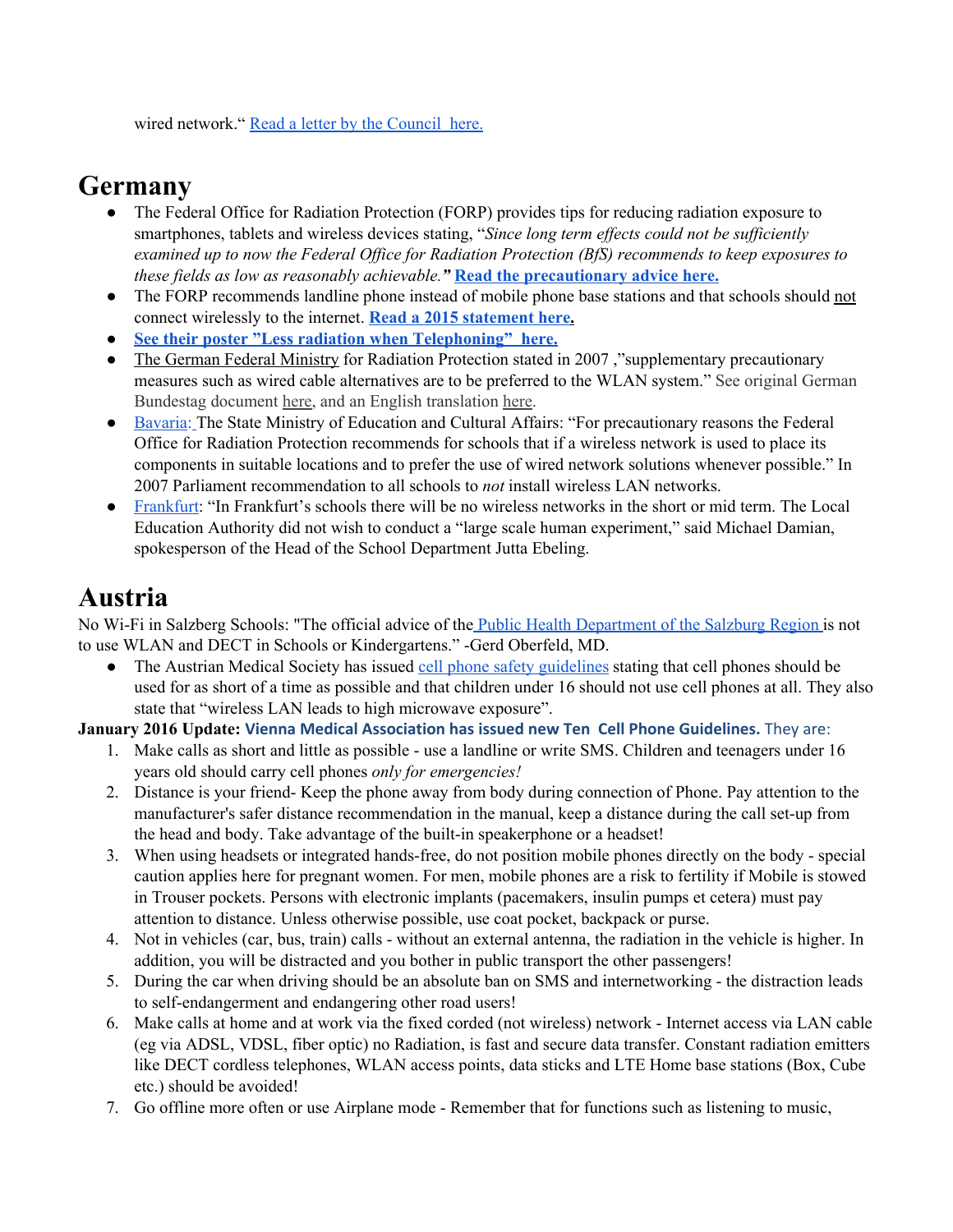wired network." Read a letter by the [Council](http://www.magdahavas.com/wordpress/wp-content/uploads/2010/09/German_Swiss_Wifi_In-Schools_Warn.pdf) here.

### **Germany**

- **●** The Federal Office for Radiation Protection (FORP) provides tips for reducing radiation exposure to smartphones, tablets and wireless devices stating, "*Since long term effects could not be sufficiently examined up to now the Federal Office for Radiation Protection (BfS) recommends to keep exposures to these fields as low as reasonably achievable."* **Read the [precautionary](http://www.bfs.de/EN/topics/emf/mobile-communication/mobile-communication_node.html) advice here.**
- **●** The FORP recommends landline phone instead of mobile phone base stations and that schools should not connect wirelessly to the internet. **Read a 2015 [statement](http://www.welt.de/gesundheit/article137612666/Bundesamt-warnt-Schulen-vor-WLAN-Netzen.html?fb_action_ids=976658322393159&fb_action_types=og.recommends&fb_ref=top.right) her[e.](http://www.welt.de/gesundheit/article137612666/Bundesamt-warnt-Schulen-vor-WLAN-Netzen.html?fb_action_ids=976658322393159&fb_action_types=og.recommends&fb_ref=top.right)**
- **● See their poster "Less radiation when [Telephoning"](https://www.bfs.de/SharedDocs/Downloads/BfS/DE/broschueren/unterricht-mobilfunk/Poster-Weniger-Strahlung.html) here.**
- The German Federal [Ministry](http://translate.google.com/translate?hl=en&sl=de&u=http://www.icems.eu/docs/deutscher_bundestag.pdf&prev=/search%3Fq%3DThe%2BGerman%2BFederal%2BMinistry%2Bfor%2BRadiation%2BProtection%2B%255BDas%2BBundesamt%2Bf%25C3%25BCr%2BStrahlenschutz%255D%2Brecommends,%2Bthat%2Bin%2Bview%2Bof%2Bthe%2Bregulated%2Blimits%2Bsupplementary%2Bprecautionary%2Bmeasures%2Bsuch%2Bas%2Bwired%2Bcable%2Balternatives%2Bare%2Bto%2Bbe%2Bpreferred%2Bto%2Bthe%2BWLAN%2Bsystem%2BAlso%2Bthe%2Bquestion%2Babout%2Bthe%2Bage-dependent%2Benergy%2Babsorption%2Band%2Benergy%2Bdistribution%2Bhas%2Bnot%2Byet%2Bbeen%2Bsatisfactorily%2Banswered.%2BThis%2Bstatement%2Bled%2Bthe%2BBavarian%2BLandtag%2Bto%2Bissue%2Ba%2Brecommendation%2Bto%2Bschools%2Bin%2Bwhich%2Bthe%2Bschools%2Bare%2Bcalled%2Bupon%2Bto%2Bavoid%2BWLAN,%2Bif%2Bpossible.%26client%3Dfirefox-a%26hs%3DL7e%26rls%3Dorg.mozilla:en-US:official%26channel%3Dsb) for Radiation Protection stated in 2007, "supplementary precautionary" measures such as wired cable alternatives are to be preferred to the WLAN system." See original German Bundestag document [here,](http://dip21.bundestag.de/dip21/btd/16/061/1606117.pdf) and an English translation [here.](http://www.icems.eu/docs/deutscher_bundestag.pdf)
- [Bavaria:](http://www.magdahavas.com/wordpress/wp-content/uploads/2010/09/German_Swiss_Wifi_In-Schools_Warn.pdf) [T](http://c4st.org/news/item/wifi-in-schools/no-wlan-frankfurt-bavaria-salzburg.html)he State Ministry of Education and Cultural Affairs: "For precautionary reasons the Federal Office for Radiation Protection recommends for schools that if a wireless network is used to place its components in suitable locations and to prefer the use of wired network solutions whenever possible." In 2007 Parliament recommendation to all schools to *not* install wireless LAN networks.
- [Frankfurt:](http://omega.twoday.net/stories/3974159/) "In Frankfurt's schools there will be no wireless networks in the short or mid term. The Local Education Authority did not wish to conduct a "large scale human experiment," said Michael Damian, spokesperson of the Head of the School Department Jutta Ebeling.

### **Austria**

No Wi-Fi in Salzberg Schools: "The official advice of the Public Health [Department](http://c4st.org/news/item/wifi-in-schools/no-wlan-frankfurt-bavaria-salzburg.html) of the Salzburg Region is not to use WLAN and DECT in Schools or Kindergartens." -Gerd Oberfeld, MD.

• The Austrian Medical Society has issued cell phone safety [guidelines](http://ehtrust.org/wp-content/uploads/2012/12/Viennese-Cell-Phone-Warnings.pdf) stating that cell phones should be used for as short of a time as possible and that children under 16 should not use cell phones at all. They also state that "wireless LAN leads to high microwave exposure".

#### **January 2016 Update: Vienna Medical Association has issued new Ten Cell Phone Guidelines.** They are:

- 1. Make calls as short and little as possible use a landline or write SMS. Children and teenagers under 16 years old should carry cell phones *only for emergencies!*
- 2. Distance is your friend- Keep the phone away from body during connection of Phone. Pay attention to the manufacturer's safer distance recommendation in the manual, keep a distance during the call set-up from the head and body. Take advantage of the built-in speakerphone or a headset!
- 3. When using headsets or integrated hands-free, do not position mobile phones directly on the body special caution applies here for pregnant women. For men, mobile phones are a risk to fertility if Mobile is stowed in Trouser pockets. Persons with electronic implants (pacemakers, insulin pumps et cetera) must pay attention to distance. Unless otherwise possible, use coat pocket, backpack or purse.
- 4. Not in vehicles (car, bus, train) calls without an external antenna, the radiation in the vehicle is higher. In addition, you will be distracted and you bother in public transport the other passengers!
- 5. During the car when driving should be an absolute ban on SMS and internetworking the distraction leads to self-endangerment and endangering other road users!
- 6. Make calls at home and at work via the fixed corded (not wireless) network Internet access via LAN cable (eg via ADSL, VDSL, fiber optic) no Radiation, is fast and secure data transfer. Constant radiation emitters like DECT cordless telephones, WLAN access points, data sticks and LTE Home base stations (Box, Cube etc.) should be avoided!
- 7. Go offline more often or use Airplane mode Remember that for functions such as listening to music,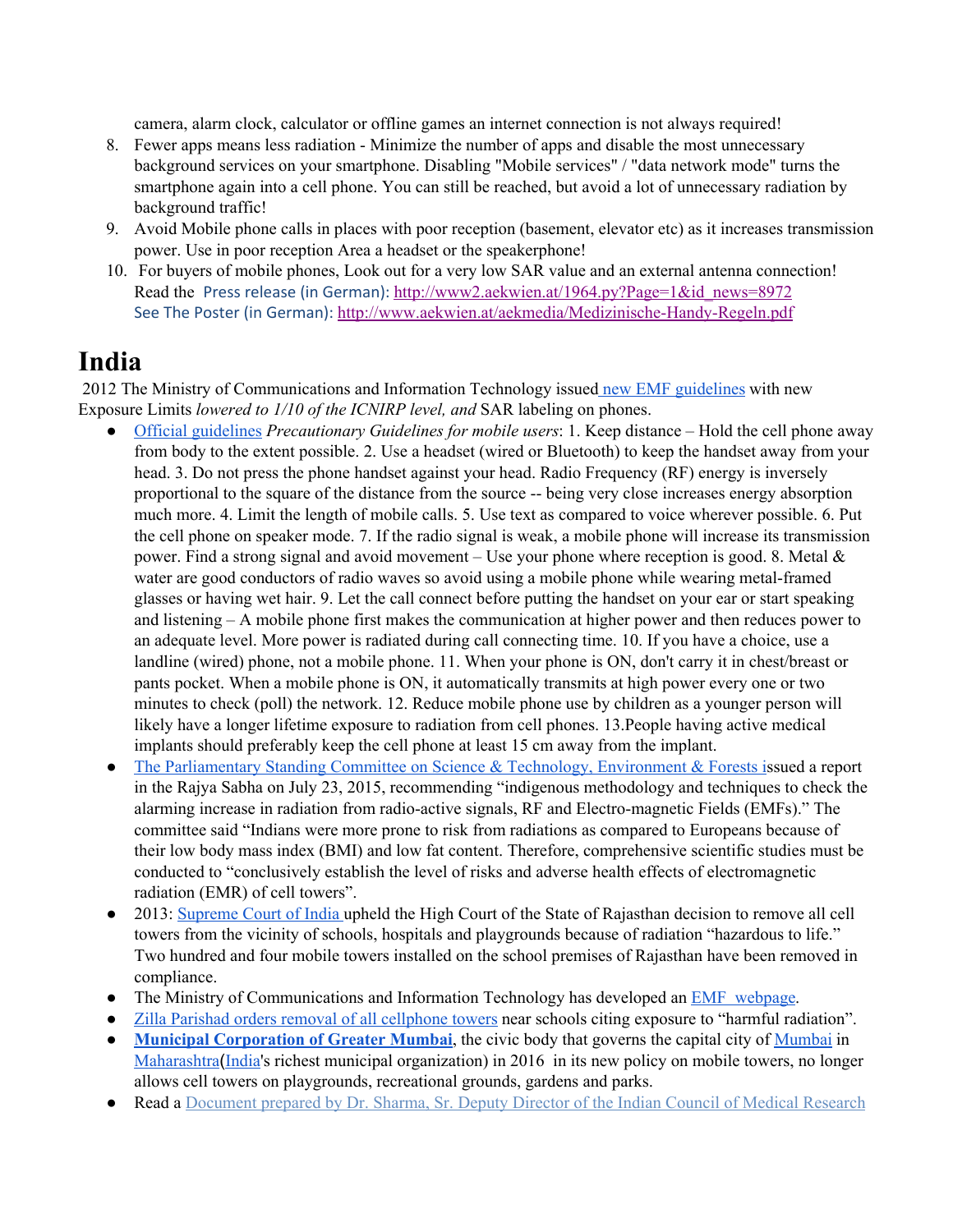camera, alarm clock, calculator or offline games an internet connection is not always required!

- 8. Fewer apps means less radiation Minimize the number of apps and disable the most unnecessary background services on your smartphone. Disabling "Mobile services" / "data network mode" turns the smartphone again into a cell phone. You can still be reached, but avoid a lot of unnecessary radiation by background traffic!
- 9. Avoid Mobile phone calls in places with poor reception (basement, elevator etc) as it increases transmission power. Use in poor reception Area a headset or the speakerphone!
- 10. For buyers of mobile phones, Look out for a very low SAR value and an external antenna connection! Read the Press release (in German): [http://www2.aekwien.at/1964.py?Page=1&id\\_news=8972](http://www2.aekwien.at/1964.py?Page=1&id_news=8972) See The Poster (in German): <http://www.aekwien.at/aekmedia/Medizinische-Handy-Regeln.pdf>

# **India**

2012 The Ministry of Communications and Information Technology issued new EMF [guidelines](http://www.pib.nic.in/newsite/erelease.aspx?relid=87152) with new Exposure Limits *lowered to 1/10 of the ICNIRP level, and* SAR labeling on phones.

- Official [guidelines](http://www.dot.gov.in/sites/default/files/Precautionary%20Guidelines%20for%20mobile%20Users.pdf) *Precautionary Guidelines for mobile users*: 1. Keep distance Hold the cell phone away from body to the extent possible. 2. Use a headset (wired or Bluetooth) to keep the handset away from your head. 3. Do not press the phone handset against your head. Radio Frequency (RF) energy is inversely proportional to the square of the distance from the source -- being very close increases energy absorption much more. 4. Limit the length of mobile calls. 5. Use text as compared to voice wherever possible. 6. Put the cell phone on speaker mode. 7. If the radio signal is weak, a mobile phone will increase its transmission power. Find a strong signal and avoid movement – Use your phone where reception is good. 8. Metal  $\&$ water are good conductors of radio waves so avoid using a mobile phone while wearing metal-framed glasses or having wet hair. 9. Let the call connect before putting the handset on your ear or start speaking and listening – A mobile phone first makes the communication at higher power and then reduces power to an adequate level. More power is radiated during call connecting time. 10. If you have a choice, use a landline (wired) phone, not a mobile phone. 11. When your phone is ON, don't carry it in chest/breast or pants pocket. When a mobile phone is ON, it automatically transmits at high power every one or two minutes to check (poll) the network. 12. Reduce mobile phone use by children as a younger person will likely have a longer lifetime exposure to radiation from cell phones. 13.People having active medical implants should preferably keep the cell phone at least 15 cm away from the implant.
- The [Parliamentary](http://indialegalonline.com/mobile-menace/) Standing Committee on Science & Technology, Environment & Forests issued a report in the Rajya Sabha on July 23, 2015, recommending "indigenous methodology and techniques to check the alarming increase in radiation from radio-active signals, RF and Electro-magnetic Fields (EMFs)." The committee said "Indians were more prone to risk from radiations as compared to Europeans because of their low body mass index (BMI) and low fat content. Therefore, comprehensive scientific studies must be conducted to "conclusively establish the level of risks and adverse health effects of electromagnetic radiation (EMR) of cell towers".
- 2013: [Supreme](http://articles.economictimes.indiatimes.com/2012-11-28/news/35408877_1_mobile-towers-cell-towers-s-israni) Court of India upheld the High Court of the State of Rajasthan decision to remove all cell towers from the vicinity of schools, hospitals and playgrounds because of radiation "hazardous to life." Two hundred and four mobile towers installed on the school premises of Rajasthan have been removed in compliance.
- The Ministry of Communications and Information Technology has developed an EMF [webpage.](http://www.dot.gov.in/access-services/journey-emf)
- Zilla Parishad orders removal of all [cellphone](http://timesofindia.indiatimes.com/city/pune/Zilla-Parishad-orders-removal-of-cellphone-towers-near-schools-in-district/articleshow/45768561.cms) towers near schools citing exposure to "harmful radiation".
- **Municipal [Corporation](http://www.hindustantimes.com/mumbai/bmc-bans-mobile-towers-at-parks-playgrounds/story-Wwc9tjtcFPyTxWMyP2Y1OJ.html) of Greater Mumbai**, the civic body that governs the capital city o[f](https://en.wikipedia.org/wiki/Mumbai) [Mumbai](https://en.wikipedia.org/wiki/Mumbai) i[n](https://en.wikipedia.org/wiki/Maharashtra) [Maharashtra](https://en.wikipedia.org/wiki/Maharashtra)([India'](https://en.wikipedia.org/wiki/India)s richest municipal organization) in 2016 in its new policy on mobile towers, no longer allows cell towers on playgrounds, recreational grounds, gardens and parks.
- Read a [Document](http://nebula.wsimg.com/a7fa8546759043f1e5ede8159f91092f?AccessKeyId=045114F8E0676B9465FB&disposition=0&alloworigin=1) prepared by Dr. Sharma, Sr. Deputy Director of the Indian Council of Medical Research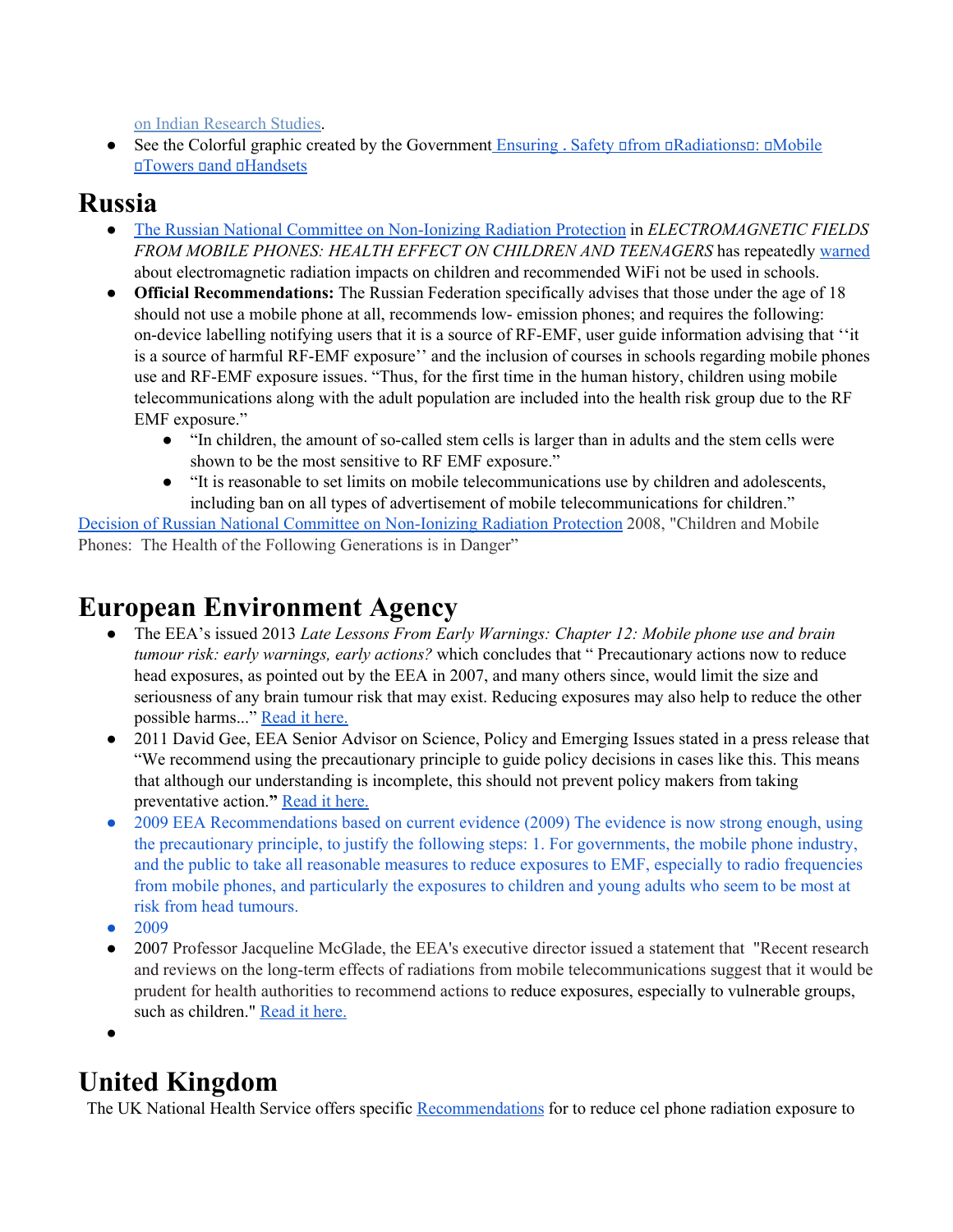on Indian [Research](http://nebula.wsimg.com/a7fa8546759043f1e5ede8159f91092f?AccessKeyId=045114F8E0676B9465FB&disposition=0&alloworigin=1) Studies.

• See the Colorful graphic created by the Government Ensuring . Safety of rom online in Mobile Towers and [Handsets](http://www.dot.gov.in/sites/default/files/Annexures/advertisement_0.pdf)

### **Russia**

- The Russian National Committee on [Non-Ionizing](https://docs.google.com/file/d/0B1KQ639Tc1Z9TTg2WGxpTlRvb2M/edit?pli=1) Radiation Protection in *ELECTROMAGNETIC FIELDS FROM MOBILE PHONES: HEALTH EFFECT ON CHILDREN AND TEENAGERS* has repeatedly [warned](https://www.youtube.com/watch?v=5CemiJ-yIA4&feature=youtu.be) about electromagnetic radiation impacts on children and recommended WiFi not be used in schools.
- **Official Recommendations:** The Russian Federation specifically advises that those under the age of 18 should not use a mobile phone at all, recommends low- emission phones; and requires the following: on-device labelling notifying users that it is a source of RF-EMF, user guide information advising that ''it is a source of harmful RF-EMF exposure'' and the inclusion of courses in schools regarding mobile phones use and RF-EMF exposure issues. "Thus, for the first time in the human history, children using mobile telecommunications along with the adult population are included into the health risk group due to the RF EMF exposure."
	- "In children, the amount of so-called stem cells is larger than in adults and the stem cells were shown to be the most sensitive to RF EMF exposure."
	- "It is reasonable to set limits on mobile telecommunications use by children and adolescents, including ban on all types of advertisement of mobile telecommunications for children."

Decision of Russian National Committee on [Non-Ionizing](http://www.radiationresearch.org/pdfs/rncnirp_children.pdf) Radiation Protection 2008, "Children and Mobile Phones: The Health of the Following Generations is in Danger"

# **European [Environment](http://www.independent.co.uk/environment/green-living/eu-watchdog-calls-for-urgent-action-on-wifi-radiation-402539.html) Agency**

- The EEA's issued 2013 *Late Lessons From Early Warnings: Chapter 12: Mobile phone use and brain tumour risk: early warnings, early actions?* which concludes that " Precautionary actions now to reduce head exposures, as pointed out by the EEA in 2007, and many others since, would limit the size and seriousness of any brain tumour risk that may exist. Reducing exposures may also help to reduce the other possible harms..." [Read](http://www.eea.europa.eu/publications/late-lessons-2/late-lessons-chapters/late-lessons-ii-chapter-21) it here.
- 2011 David Gee, EEA Senior Advisor on Science, Policy and Emerging Issues stated in a press release that "We recommend using the precautionary principle to guide policy decisions in cases like this. This means that although our understanding is incomplete, this should not prevent policy makers from taking preventative action.**"** [Read](http://www.eea.europa.eu/highlights/health-risks-from-mobile-phone) it here.
- 2009 EEA Recommendations based on current evidence (2009) The evidence is now strong enough, using the precautionary principle, to justify the following steps: 1. For governments, the mobile phone industry, and the public to take all reasonable measures to reduce exposures to EMF, especially to radio frequencies from mobile phones, and particularly the exposures to children and young adults who seem to be most at risk from head tumours.
- 2009
- 2007 Professor Jacqueline McGlade, the EEA's executive director issued a statement that "Recent research and reviews on the long-term effects of radiations from mobile telecommunications suggest that it would be prudent for health authorities to recommend actions to reduce exposures, especially to vulnerable groups, such as children." [Read](http://www.independent.co.uk/environment/green-living/eu-watchdog-calls-for-urgent-action-on-wi-fi-radiation-402539.html) it here.
- ●

# **United Kingdom**

The UK National Health Service offers specific [Recommendations](http://www.nhs.uk/Conditions/Mobile-phone-safety/Pages/Risks.aspx) for to reduce cel phone radiation exposure to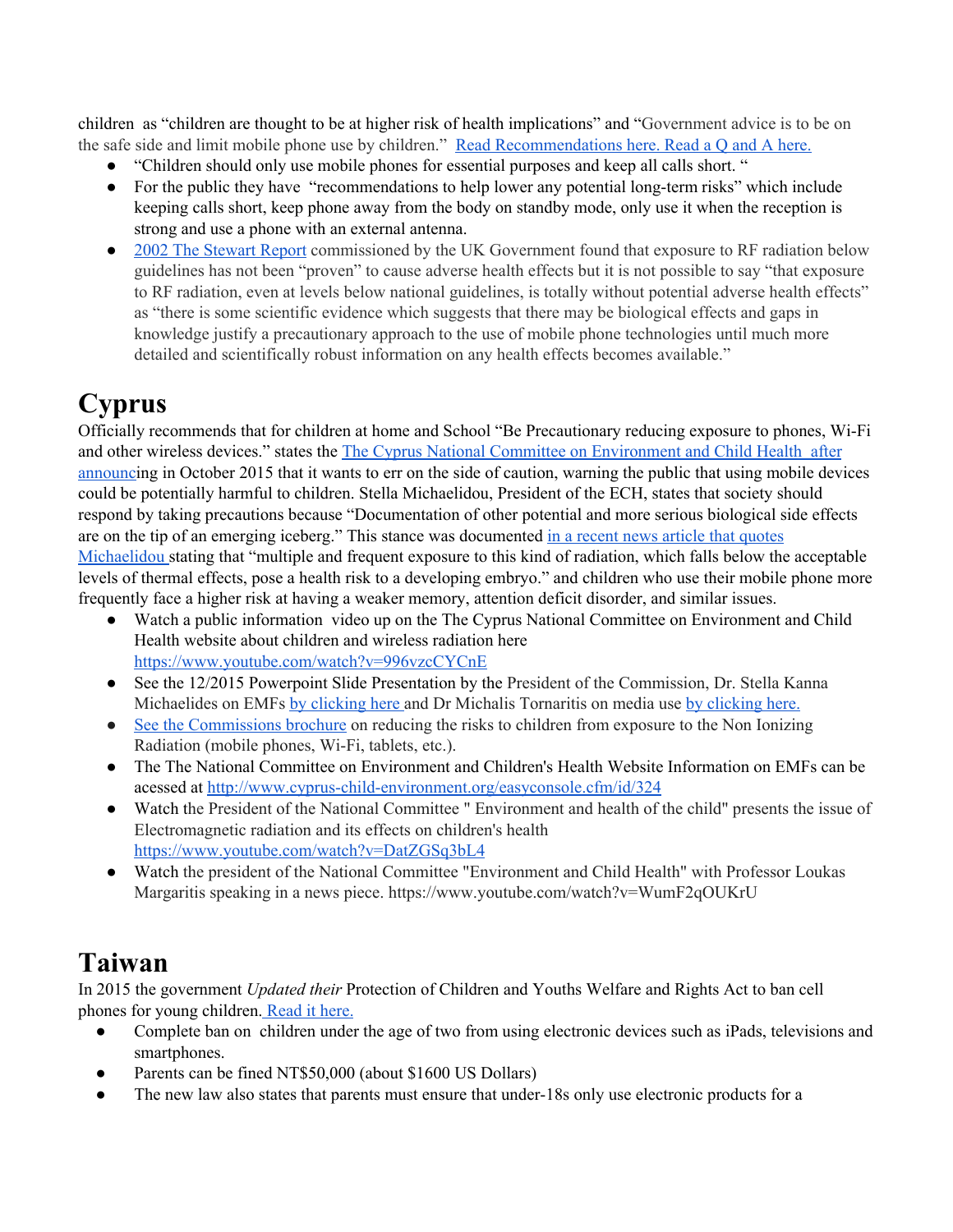children as "children are thought to be at higher risk of health implications" and "Government advice is to be on the safe side and limit mobile phone use by children." Read [Recommendations](http://www.nhs.uk/Conditions/Mobile-phone-safety/Pages/Risks.aspx) here. [Read](http://www.nhs.uk/Conditions/Mobile-phone-safety/Pages/QA.aspx#biological-reasons) a Q and A here.

- "Children should only use mobile phones for essential purposes and keep all calls short. "
- For the public they have "recommendations to help lower any potential long-term risks" which include keeping calls short, keep phone away from the body on standby mode, only use it when the reception is strong and use a phone with an external antenna.
- 2002 The [Stewart](http://www.mthr.org.uk/documents/meetings/nov_2002/speaker_abstracts/w_stewart.pdf) Report commissioned by the UK Government found that exposure to RF radiation below guidelines has not been "proven" to cause adverse health effects but it is not possible to say "that exposure to RF radiation, even at levels below national guidelines, is totally without potential adverse health effects" as "there is some scientific evidence which suggests that there may be biological effects and gaps in knowledge justify a precautionary approach to the use of mobile phone technologies until much more detailed and scientifically robust information on any health effects becomes available."

# **Cyprus**

Officially recommends that for children at home and School "Be Precautionary reducing exposure to phones, Wi-Fi and other wireless devices." states the The Cyprus National Committee on [Environment](http://in-cyprus.com/mobile-devices-could-harm-kids/) and Child Health after [announci](http://in-cyprus.com/mobile-devices-could-harm-kids/)ng in October 2015 that it wants to err on the side of caution, warning the public that using mobile devices could be potentially harmful to children. Stella Michaelidou, President of the ECH, states that society should respond by taking precautions because "Documentation of other potential and more serious biological side effects are on the tip of an emerging iceberg." This stance was documented in a recent news article that [quotes](http://in-cyprus.com/mobile-devices-could-harm-kids/) [Michaelidou](http://in-cyprus.com/mobile-devices-could-harm-kids/) stating that "multiple and frequent exposure to this kind of radiation, which falls below the acceptable levels of thermal effects, pose a health risk to a developing embryo." and children who use their mobile phone more frequently face a higher risk at having a weaker memory, attention deficit disorder, and similar issues.

- Watch a public information video up on the The Cyprus National Committee on Environment and Child Health website about children and wireless radiation here [https://www.youtube.com/watch?v=996vzcCYCnE](https://www.youtube.com/watch?v=H43IKNjTvRM&feature=youtu.be)
- See the 12/2015 Powerpoint Slide Presentation by the President of the Commission, Dr. Stella Kanna Michaelides on EMFs by [clicking](http://www.cyprus-child-environment.org/images/media/assetfile/Press%20conf_Dr%20SKM_web.pdf) here and Dr Michalis Tornaritis on media use by [clicking](http://www.cyprus-child-environment.org/images/media/assetfile/Dr%20Tornaritis.pdf) here.
- See the [Commissions](http://www.cyprus-child-environment.org/images/media/assetfile/electromagnetic_booklet_FINAL%20FINAL.pdf) brochure on reducing the risks to children from exposure to the Non Ionizing Radiation (mobile phones, Wi-Fi, tablets, etc.).
- The The National Committee on Environment and Children's Health Website Information on EMFs can be acessed at <http://www.cyprus-child-environment.org/easyconsole.cfm/id/324>
- Watch the President of the National Committee " Environment and health of the child" presents the issue of Electromagnetic radiation and its effects on children's health <https://www.youtube.com/watch?v=DatZGSq3bL4>
- Watch the president of the National Committee "Environment and Child Health" with Professor Loukas Margaritis speaking in a news piece. https://www.youtube.com/watch?v=WumF2qOUKrU

# **Taiwan**

In 2015 the government *Updated their* Protection of Children and Youths Welfare and Rights Act to ban cell phones for young children. [Read](http://www.teensafe.com/blog/fined-not-monitoring-taiwans-new-parenting-penalty/) it here.

- Complete ban on children under the age of two from using electronic devices such as iPads, televisions and smartphones.
- Parents can be fined NT\$50,000 (about \$1600 US Dollars)
- The new law also states that parents must ensure that under-18s only use electronic products for a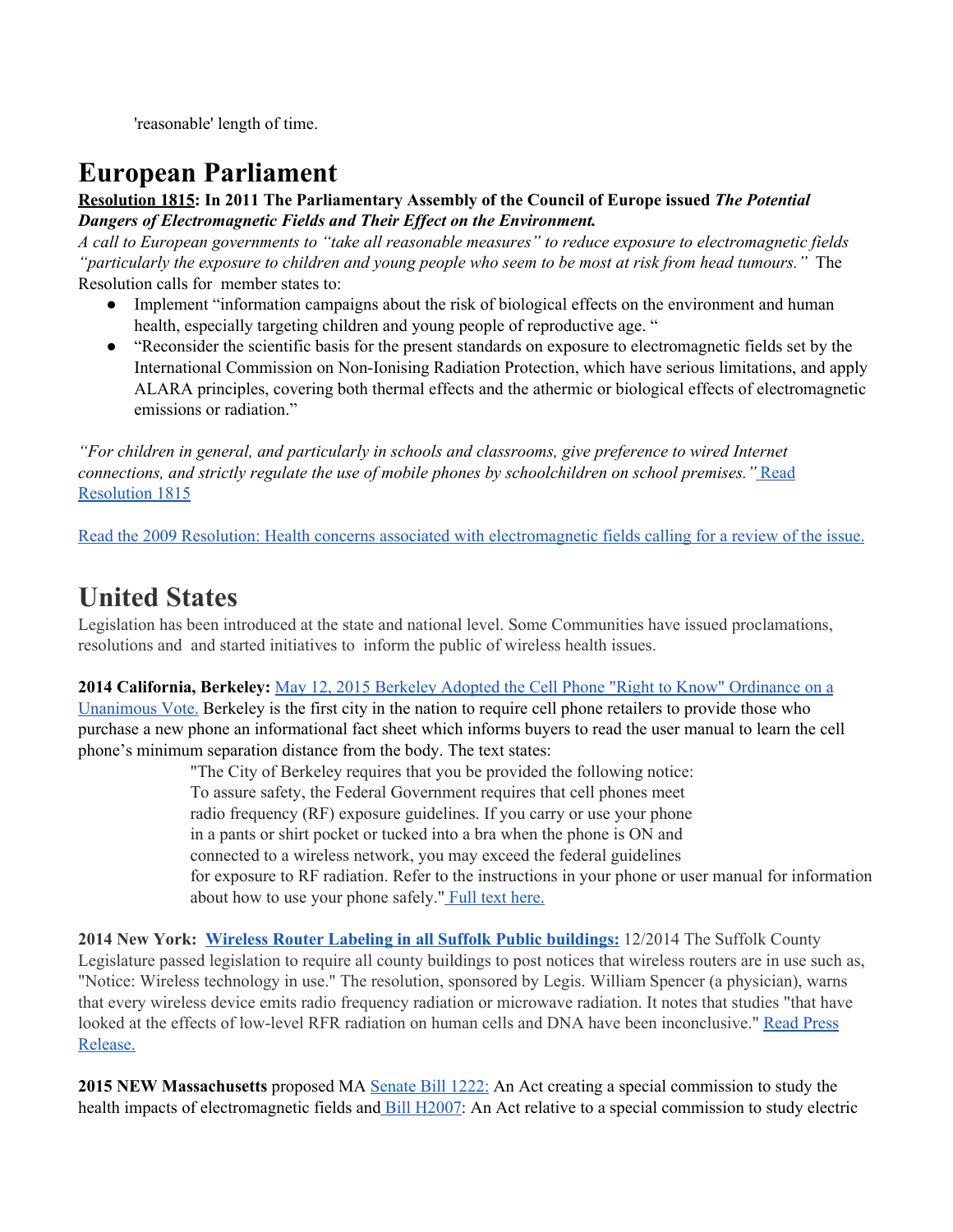'reasonable' length of time.

# **European Parliament**

**[Resolution](http://assembly.coe.int/nw/xml/XRef/Xref-XML2HTML-en.asp?fileid=17994&) 181[5:](http://assembly.coe.int/nw/xml/XRef/Xref-XML2HTML-en.asp?fileid=17994&) In 2011 The Parliamentary Assembly of the Council of Europe issued** *The Potential Dangers of Electromagnetic Fields and Their Effect on the Environment.* 

*A call to European governments to "take all reasonable measures" to reduce exposure to electromagnetic fields* "particularly the exposure to children and young people who seem to be most at risk from head tumours." The Resolution calls for member states to:

- Implement "information campaigns about the risk of biological effects on the environment and human health, especially targeting children and young people of reproductive age. "
- "Reconsider the scientific basis for the present standards on exposure to electromagnetic fields set by the International Commission on Non-Ionising Radiation Protection, which have serious limitations, and apply ALARA principles, covering both thermal effects and the athermic or biological effects of electromagnetic emissions or radiation."

*"For children in general, and particularly in schools and classrooms, give preference to wired Internet connections, and strictly regulate the use of mobile phones by schoolchildren on school premises."* [Read](http://assembly.coe.int/nw/xml/XRef/Xref-XML2HTML-en.asp?fileid=17994&) [Resolution](http://assembly.coe.int/nw/xml/XRef/Xref-XML2HTML-en.asp?fileid=17994&) 1815

Read the 2009 Resolution: Health concerns associated with [electromagnetic](http://www.europarl.europa.eu/sides/getDoc.do?pubRef=-//EP//NONSGML+TA+P6-TA-2009-0216+0+DOC+PDF+V0//EN) fields calling for a review of the issue.

### **United States**

Legislation has been introduced at the state and national level. Some Communities have issued proclamations, resolutions and and started initiatives to inform the public of wireless health issues.

#### **2014 California, Berkeley:** May 12, 2015 Berkeley Adopted the Cell Phone "Right to Know" [Ordinance](http://www.saferemr.com/2014/11/berkeley-cell-phone-right-to-know.html) on a

[Unanimous](http://www.saferemr.com/2014/11/berkeley-cell-phone-right-to-know.html) Vote. Berkeley is the first city in the nation to require cell phone retailers to provide those who purchase a new phone an informational fact sheet which informs buyers to read the user manual to learn the cell phone's minimum separation distance from the body. The text states:

> "The City of Berkeley requires that you be provided the following notice: To assure safety, the Federal Government requires that cell phones meet radio frequency (RF) exposure guidelines. If you carry or use your phone in a pants or shirt pocket or tucked into a bra when the phone is ON and connected to a wireless network, you may exceed the federal guidelines for exposure to RF radiation. Refer to the instructions in your phone or user manual for information about how to use your phone safely." Full text [here.](http://bit.ly/Bklyordinance.)

**2014 New York: Wireless Router Labeling in all Suffolk Public [buildings:](https://www.newsday.com/long-island/suffolk/wireless-routers-to-get-warning-signs-at-suffolk-county-buildings-1.9674333)** 12/2014 The Suffolk County Legislature passed legislation to require all county buildings to post notices that wireless routers are in use such as, "Notice: Wireless technology in use." The resolution, sponsored by Legis. William Spencer (a physician), warns that every wireless device emits radio frequency radiation or microwave radiation. It notes that studies "that have looked at the effects of low-level RFR radiation on human cells and DNA have been inconclusive." Read [Press](http://grassrootsinfo.org/pdf/prsuffolkwireless.pdf) [Release.](http://grassrootsinfo.org/pdf/prsuffolkwireless.pdf)

**2015 NEW Massachusetts** proposed MA [Senate](https://malegislature.gov/Bills/189/Senate/S1222) Bill 1222: An Act creating a special commission to study the health impacts of electromagnetic fields and Bill [H2007:](https://malegislature.gov/Bills/189/House/H2007) An Act relative to a special commission to study electric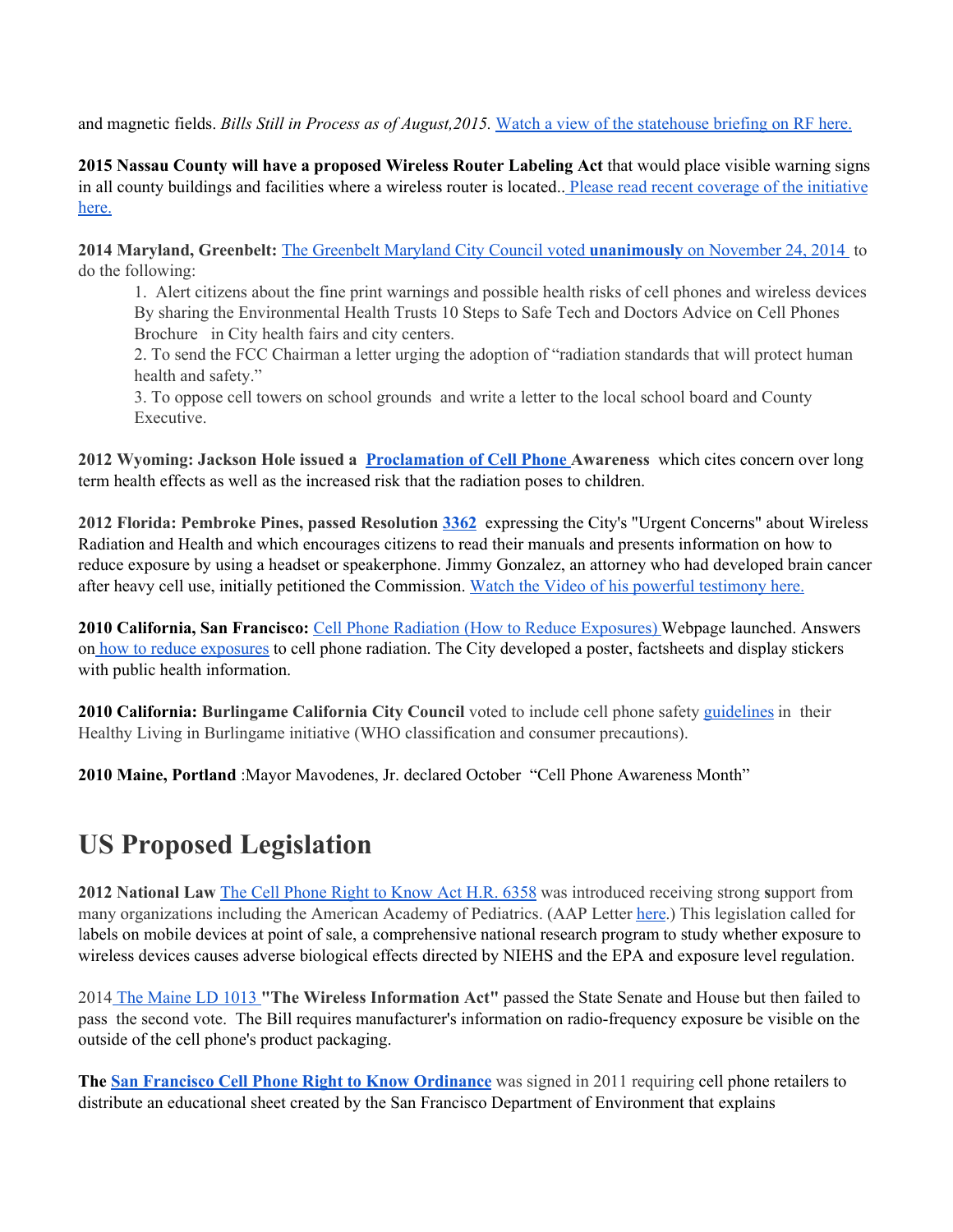and magnetic fields. *Bills Still in Process as of August,2015.* Watch a view of the [statehouse](https://vimeo.com/134411701) briefing on RF here.

**2015 Nassau County will have a proposed Wireless Router Labeling Act** that would place visible warning signs in all county buildings and facilities where a wireless router is located.. Please read recent [coverage](http://www.theislandnow.com/great_neck/legislation-eyed-for-wireless-routers-in-nassau-county-buildings/article_24023694-3142-11e5-9924-cbbcf422243f.html) of the initiative [here.](http://www.theislandnow.com/great_neck/legislation-eyed-for-wireless-routers-in-nassau-county-buildings/article_24023694-3142-11e5-9924-cbbcf422243f.html)

**2014 Maryland, Greenbelt:** The [Greenbelt](http://www.releasewire.com/press-releases/maryland-city-votes-unanimously-to-alert-citizens-to-the-health-risks-of-cell-phonewireless-radiation-and-to-oppose-cell-towers-on-school-grounds-564985.htm) Maryland City Council voted **[unanimously](http://www.releasewire.com/press-releases/maryland-city-votes-unanimously-to-alert-citizens-to-the-health-risks-of-cell-phonewireless-radiation-and-to-oppose-cell-towers-on-school-grounds-564985.htm)** on [November](http://www.releasewire.com/press-releases/maryland-city-votes-unanimously-to-alert-citizens-to-the-health-risks-of-cell-phonewireless-radiation-and-to-oppose-cell-towers-on-school-grounds-564985.htm) 24, 2014 to do the following:

1. Alert citizens about the fine print warnings and possible health risks of cell phones and wireless devices By sharing the Environmental Health Trusts 10 Steps to Safe Tech and Doctors Advice on Cell Phones Brochure in City health fairs and city centers.

2. To send the FCC Chairman a letter urging the adoption of "radiation standards that will protect human health and safety."

3. To oppose cell towers on school grounds and write a letter to the local school board and County Executive.

**2012 Wyoming: Jackson Hole issued a [Proclamation](http://electromagnetichealth.org/electromagnetic-health-blog/jackson-wy-proclamation/) of Cell Phone Awareness** which cites concern over long term health effects as well as the increased risk that the radiation poses to children.

**2012 Florida: Pembroke Pines, passed Resolutio[n](http://www.scribd.com/doc/128700575/pembroke-pines) [3362](http://www.scribd.com/doc/128700575/pembroke-pines)**  expressing the City's "Urgent Concerns" about Wireless Radiation and Health and which encourages citizens to read their manuals and presents information on how to reduce exposure by using a headset or speakerphone. Jimmy Gonzalez, an attorney who had developed brain cancer after heavy cell use, initially petitioned the Commission. Watch the Video of his powerful [testimony](https://www.youtube.com/watch?v=DIlOVJd0lA8&feature=youtube_gdata) here.

**2010 California, San Francisco:** Cell Phone Radiation (How to Reduce [Exposures\)](http://www.sfenvironment.org/article/safer-practices/using-cell-phones-safely) Webpage launched. Answers on how to reduce [exposures](http://www.sfenvironment.org/solution/is-there-a-way-to-use-my-cell-phone-and-reduce-my-exposure-to-radiofrequency-energy) to cell phone radiation. The City developed a poster, factsheets and display stickers with public health information.

**2010 California: Burlingame California City Council** voted to include cell phone safet[y](http://www.burlingame.org/gcsearch.aspx?q=cell%2520phones%2520) [guidelines](http://www.burlingame.org/gcsearch.aspx?q=cell%2520phones%2520) in their Healthy Living in Burlingame initiative (WHO classification and consumer precautions).

**2010 Maine, Portland** :Mayor Mavodenes, Jr. declared October "Cell Phone Awareness Month"

# **US Proposed Legislation**

**2012 National Law** The Cell [Phone](https://www.govtrack.us/congress/bills/112/hr6358) Right to Know Act H.R. 6358 was introduced receiving strong **s**upport from many organizations including the American Academy of Pediatrics. (AAP Letter here.) This legislation called for labels on mobile devices at point of sale, a comprehensive national research program to study whether exposure to wireless devices causes adverse biological effects directed by NIEHS and the EPA and exposure level regulation.

2014 The [Maine](http://www.mainelegislature.org/legis/bills/bills_126th/billtexts/HP071102.asp) LD 1013 **"The Wireless Information Act"** passed the State Senate and House but then failed to pass the second vote. The Bill requires manufacturer's information on radio-frequency exposure be visible on the outside of the cell phone's product packaging.

**The San Francisco Cell Phone Right to Know [Ordinance](http://www.capitol.hawaii.gov/session2014/bills/SB2571_.htm)** was signed in 2011 requiring cell phone retailers to distribute an educational sheet created by the San Francisco Department of Environment that explains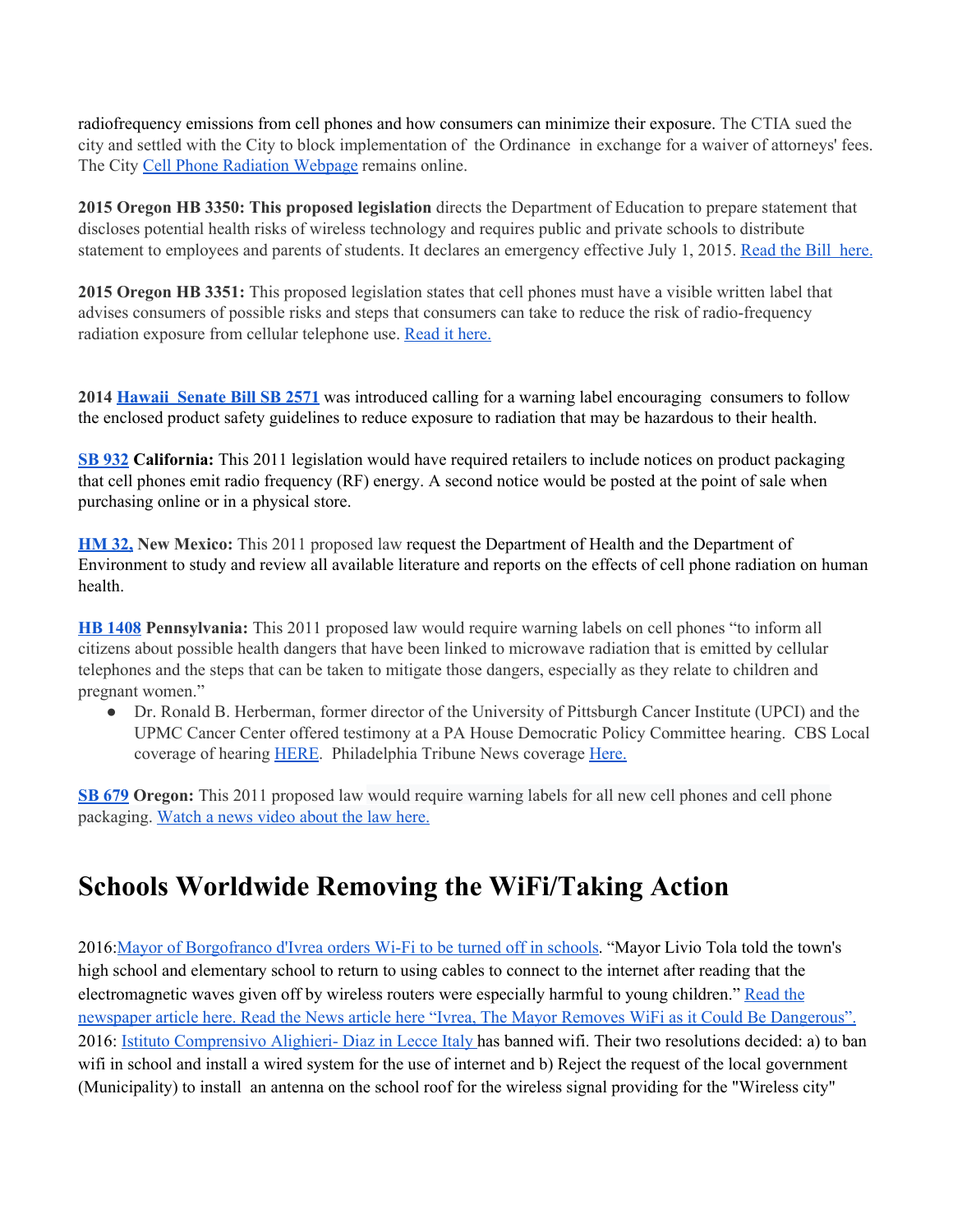radiofrequency emissions from cell phones and how consumers can minimize their exposure. The CTIA sued the city and settled with the City to block implementation of the Ordinance in exchange for a waiver of attorneys' fees. The City Cell Phone [Radiation](http://www.sfenvironment.org/article/safer-practices/using-cell-phones-safely) Webpage remains online.

**2015 Oregon HB 3350: This proposed legislation** directs the Department of Education to prepare statement that discloses potential health risks of wireless technology and requires public and private schools to distribute statement to employees and parents of students. It declares an emergency effective July 1, 2015. [Read](http://nebula.wsimg.com/e6638f3b755fc4834a01f1319faf9fbd?AccessKeyId=045114F8E0676B9465FB&disposition=0&alloworigin=1) the Bill here.

**2015 Oregon HB 3351:** This proposed legislation states that cell phones must have a visible written label that advises consumers of possible risks and steps that consumers can take to reduce the risk of radio-frequency radiation exposure from cellular telephone use. [Read](http://nebula.wsimg.com/7fa789013c7994936d0e85bce69b9a0f?AccessKeyId=045114F8E0676B9465FB&disposition=0&alloworigin=1) it here.

**2014 [Hawaii](http://www.capitol.hawaii.gov/session2014/bills/SB2571_.htm) Senate Bill SB 2571** was introduced calling for a warning label encouraging consumers to follow the enclosed product safety guidelines to reduce exposure to radiation that may be hazardous to their health.

**SB [932](http://www.cnet.com/news/california-senate-to-consider-cell-phone-radiation-bill/) California:** This 2011 legislation would have required retailers to include notices on product packaging that cell phones emit radio frequency (RF) energy. A second notice would be posted at the point of sale when purchasing online or in a physical store.

**[HM](http://www.nmlegis.gov/Sessions/11%20Regular/final/HM032.pdf) 32, New Mexico:** This 2011 proposed law request the Department of Health and the Department of Environment to study and review all available literature and reports on the effects of cell phone radiation on human health.

**HB [1408](http://www.legis.state.pa.us/cfdocs/billinfo/BillInfo.cfm?syear=2011&sind=0&body=H&type=B&bn=1408) Pennsylvania:** This 2011 proposed law would require warning labels on cell phones "to inform all citizens about possible health dangers that have been linked to microwave radiation that is emitted by cellular telephones and the steps that can be taken to mitigate those dangers, especially as they relate to children and pregnant women."

● Dr. Ronald B. Herberman, former director of the University of Pittsburgh Cancer Institute (UPCI) and the UPMC Cancer Center offered testimony at a PA House Democratic Policy Committee hearing. CBS Local coverage of hearing [HERE.](http://philadelphia.cbslocal.com/2011/09/01/pennsylvania-lawmakers-hold-philadelphia-hearing-on-cell-phone-safety-labels/) Philadelphia Tribune News coverage [Here.](http://www.phillytrib.com/news/business/debating-cell-phone-safety/article_84d4beb5-2f5f-5fc1-9fe2-f581e6b332d9.html)

**SB [679](http://www.wweek.com/portland/blog-26436-new_bill_would_require_health_warning_labels_on_cell_phones.html) Oregon:** This 2011 proposed law would require warning labels for all new cell phones and cell phone packaging. [Watch](https://www.youtube.com/watch?v=l9O7PN7DCzk) a news video about the law here.

# **Schools Worldwide Removing the WiFi/Taking Action**

2016:Mayor of [Borgofranco](http://www.thelocal.it/20160108/italy-town-turns-off-school-wifi-over-health-concerns) d'Ivrea orders Wi-Fi to be turned off in schools. "Mayor Livio Tola told the town's high school and elementary school to return to using cables to connect to the internet after reading that the electromagnetic waves given off by wireless routers were especially harmful to young children." [Read](http://www.thelocal.it/20160108/italy-town-turns-off-school-wifi-over-health-concerns) the [newspaper](http://www.thelocal.it/20160108/italy-town-turns-off-school-wifi-over-health-concerns) article here. Read the News article here "Ivrea, The Mayor Removes WiFi as it Could Be [Dangerous".](http://torino.repubblica.it/cronaca/2016/01/07/news/il_sindaco_fa_togliere_il_wi-fi_dalla_scuola_potrebbe_essere_pericoloso_-130787972/) 2016: Istituto [Comprensivo](https://www.albipretorionline.com/albopretorioPF3/frontend/atto.xhtml?codcli=SC26862&idatto=131721) Alighieri- Diaz in Lecce Italy has banned wifi. Their two resolutions decided: a) to ban wifi in school and install a wired system for the use of internet and b) Reject the request of the local government (Municipality) to install an antenna on the school roof for the wireless signal providing for the "Wireless city"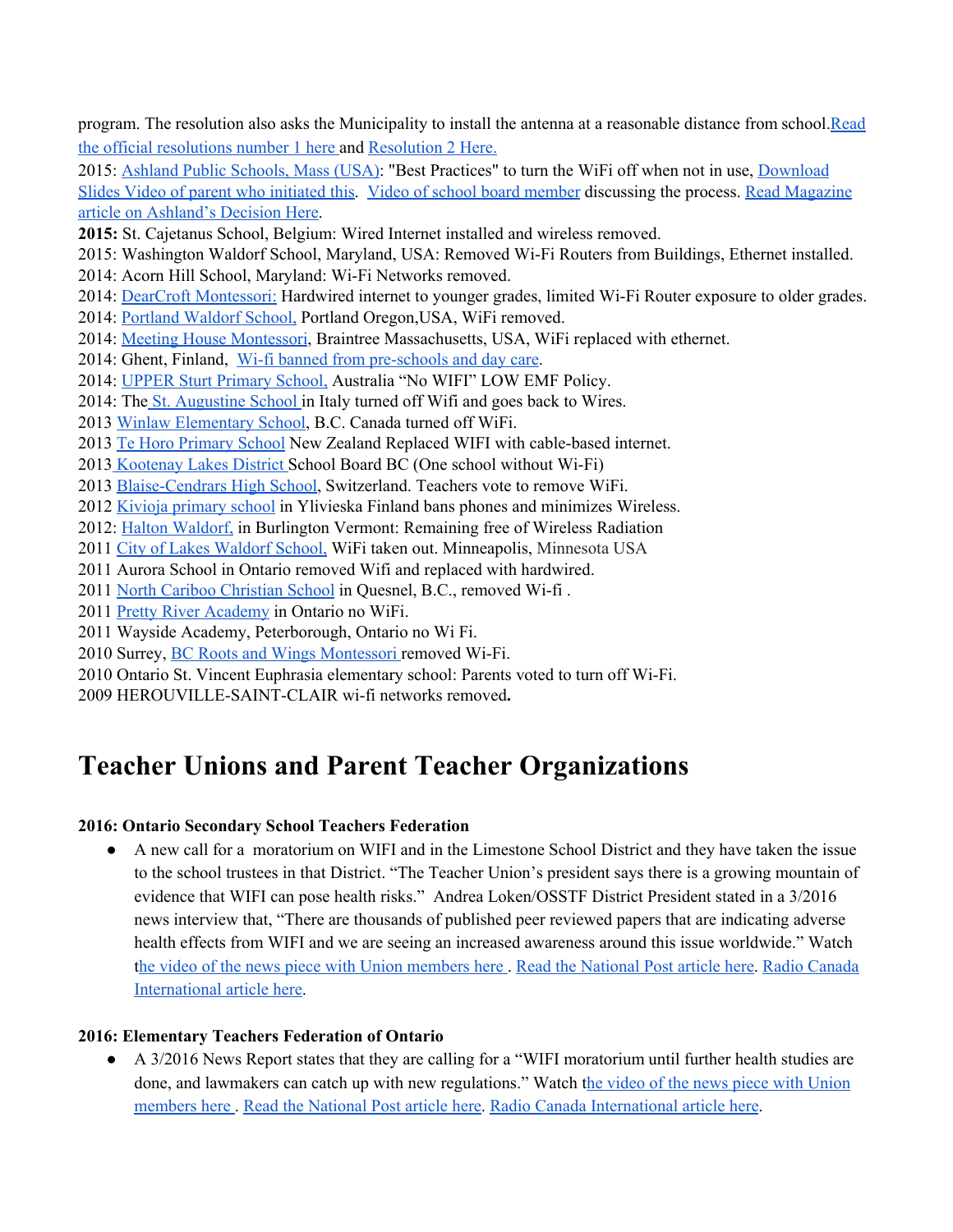program. The resolution also asks the Municipality to install the antenna at a reasonable distance from school[.Read](https://www.albipretorionline.com/albopretorioPF3/frontend/atto.xhtml?codcli=SC26862&idatto=131721) the official [resolutions](https://www.albipretorionline.com/albopretorioPF3/frontend/atto.xhtml?codcli=SC26862&idatto=131721) number 1 here and [Resolution](https://www.albipretorionline.com/albopretorioPF3/frontend/atto.xhtml?codcli=SC26862&idatto=131721) 2 Here.

2015: Ashland Public [Schools,](http://ashland.wickedlocal.com/article/20150727/NEWS/150727029) Mass (USA): "Best Practices" to turn the WiFi off when not in use, [Download](http://nebula.wsimg.com/e775775c00c459aafaa98ec808eaed63?AccessKeyId=045114F8E0676B9465FB&disposition=0&alloworigin=1) [Slides](http://nebula.wsimg.com/e775775c00c459aafaa98ec808eaed63?AccessKeyId=045114F8E0676B9465FB&disposition=0&alloworigin=1) Video of parent who [initiated](https://www.youtube.com/watch?v=WdnmMt9iiyE) this. Video of school board [member](https://www.youtube.com/watch?v=13JM5f-1Q0g) discussing the process. Read [Magazine](http://issuu.com/localtownpages/docs/2015_8_ashland/15?e=2040944/14450006&utm_source=October+13%2C+2015+general+newsletter&utm_campaign=Oct+13%2C+2015+general+newsletter&utm_medium=email) article on [Ashland's](http://issuu.com/localtownpages/docs/2015_8_ashland/15?e=2040944/14450006&utm_source=October+13%2C+2015+general+newsletter&utm_campaign=Oct+13%2C+2015+general+newsletter&utm_medium=email) Decision Here.

**2015:** St. Cajetanus School, Belgium: Wired Internet installed and wireless removed.

2015: Washington Waldorf School, Maryland, USA: Removed Wi-Fi Routers from Buildings, Ethernet installed.

2014: Acorn Hill School, Maryland: Wi-Fi Networks removed.

2014: DearCroft [Montessori:](http://www.slt.co/Downloads/Events/1066/C4ST%20WWJH%20Press%20Release.pdf) Hardwired internet to younger grades, limited Wi-Fi Router exposure to older grades.

- 2014: [Portland](http://wirelesseducationaction.org/news/) Waldorf School, Portland Oregon,USA, WiFi removed.
- 2014: Meeting House [Montessori,](http://www.mhmontessori.org/) Braintree Massachusetts, USA, WiFi replaced with ethernet.
- 2014: Ghent, Finland, Wi-fi banned from [pre-schools](http://www.flanderstoday.eu/education/ghent-bans-wi-fi-pre-schools-and-day-care) and day care.
- 2014: UPPER Sturt [Primary](http://www.emfacts.com/2014/03/australian-primary-school-opts-not-to-install-wi-fi/) School, Australia "No WIFI" LOW EMF Policy.

2014: The St. [Augustine](http://www.cronachemaceratesi.it/2014/01/30/via-il-wireless-a-scuola-torna-il-cavo/426165/) School in Italy turned off Wifi and goes back to Wires.

- 2013 Winlaw [Elementary](http://www.nelsonstar.com/news/206826071.html) School, B.C. Canada turned off WiFi.
- 2013 Te Horo [Primary](http://tvnz.co.nz/technology-news/fathers-win-school-wi-fi-battle-5787916/video) School New Zealand Replaced WIFI with cable-based internet.
- 2013 [Kootenay](http://www.nelsonstar.com/news/206826071.html) Lakes District School Board BC (One school without Wi-Fi)
- 2013 [Blaise-Cendrars](http://mieuxprevenir.blogspot.com/2013/07/switzerland-teachers-vote-to-keep-wi-fi.html) High School, Switzerland. Teachers vote to remove WiFi.
- 2012 Kivioja [primary](http://whatsupfinland.org/english/mobile-phone-restrictions-in-schools/) school in Ylivieska Finland bans phones and minimizes Wireless.
- 2012: Halton [Waldorf,](http://www.insidehalton.com/community/education/article/1330927--waldorf-says-no-to-wi-fi) in [Burlington](http://www.insidehalton.com/community/education/article/1330927--waldorf-says-no-to-wi-fi) Vermont: Remaining free of Wireless Radiation
- 2011 City of Lakes [Waldorf](http://clws.org/inclusiveness-statement/greening/) School, WiFi taken out. Minneapolis, Minnesota USA
- 2011 Aurora School in Ontario removed Wifi and replaced with hardwired.
- 2011 North Cariboo [Christian](http://quesnelcariboosentinel.com/north-cariboo-christian-school-removes-wireless-protect-children) School in Quesnel, B.C., removed Wi-fi .
- 2011 Pretty River [Academy](http://prettyriveracademy.com/programs/academics/) in Ontario no WiFi.
- 2011 Wayside Academy, Peterborough, Ontario no Wi Fi.
- 2010 Surrey, BC Roots and Wings [Montessori](http://www.rootsandwingsbc.com/) removed Wi-Fi.
- 2010 Ontario St. Vincent Euphrasia elementary school: Parents voted to turn off Wi-Fi.

2009 HEROUVILLE-SAINT-CLAIR wi-fi networks removed**.**

# **Teacher Unions and Parent Teacher Organizations**

#### **2016: Ontario Secondary School Teachers Federation**

● A new call for a moratorium on WIFI and in the Limestone School District and they have taken the issue to the school trustees in that District. "The Teacher Union's president says there is a growing mountain of evidence that WIFI can pose health risks." Andrea Loken/OSSTF District President stated in a 3/2016 news interview that, "There are thousands of published peer reviewed papers that are indicating adverse health effects from WIFI and we are seeing an increased awareness around this issue worldwide." Watch the video of the news piece with Union [members](http://safetechforschoolsmaryland.blogspot.com/2016/03/breaking-news-teacher-union-calling-for.html) here . Read the [National](http://news.nationalpost.com/news/canada/local-teachers-unions-in-ontario-latest-to-call-for-moratorium-on-wi-fi-use-in-schools) Post article here. Radio [Canada](http://www.rcinet.ca/en/2016/03/21/teachers-concerned-over-wifi-health-risks/) [International](http://www.rcinet.ca/en/2016/03/21/teachers-concerned-over-wifi-health-risks/) article here.

#### **2016: Elementary Teachers Federation of Ontario**

● A 3/2016 News Report states that they are calling for a "WIFI moratorium until further health studies are done, and lawmakers can catch up with new regulations." Watch the video of the news piece with [Union](http://safetechforschoolsmaryland.blogspot.com/2016/03/breaking-news-teacher-union-calling-for.html) [members](http://safetechforschoolsmaryland.blogspot.com/2016/03/breaking-news-teacher-union-calling-for.html) here . Read the [National](http://news.nationalpost.com/news/canada/local-teachers-unions-in-ontario-latest-to-call-for-moratorium-on-wi-fi-use-in-schools) Post article here. Radio Canada [International](http://www.rcinet.ca/en/2016/03/21/teachers-concerned-over-wifi-health-risks/) article here.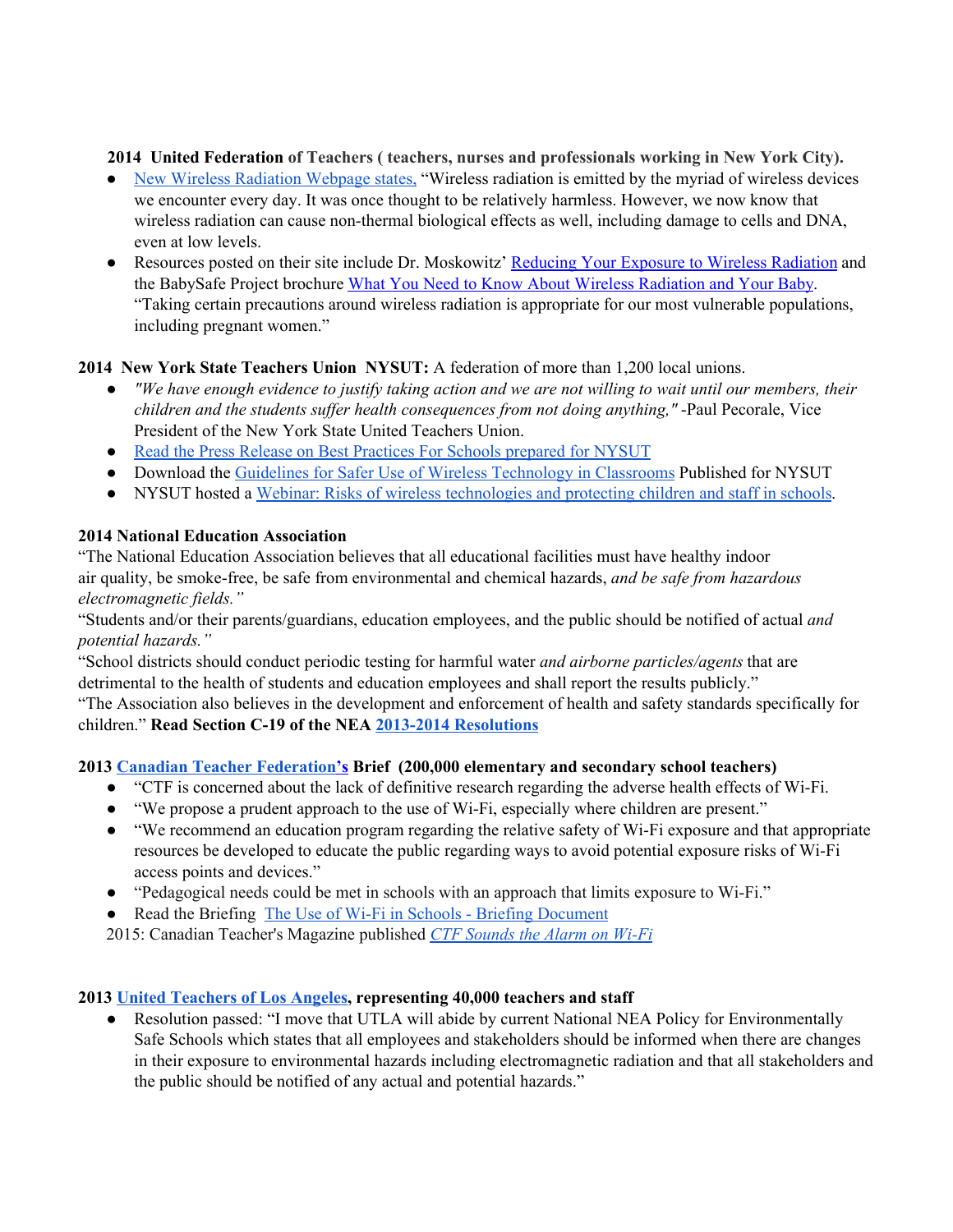**2014 United Federation of Teachers ( teachers, nurses and professionals working in New York City).**

- New Wireless [Radiation](http://www.uft.org/our-rights/wireless-radiation) Webpage states, "Wireless radiation is emitted by the myriad of wireless devices we encounter every day. It was once thought to be relatively harmless. However, we now know that wireless radiation can cause non-thermal biological effects as well, including damage to cells and DNA, even at low levels.
- Resources posted on their site include Dr. Moskowitz' Reducing Your Exposure to Wireless [Radiation](http://www.uft.org/files/attachments/wireless-radiation-reduce-exposure.pdf) and the BabySafe Project brochure What You Need to Know About Wireless [Radiation](http://www.uft.org/files/attachments/wireless-radiation-baby.pdf) and Your Baby. "Taking certain precautions around wireless radiation is appropriate for our most vulnerable populations, including pregnant women."

# **2014 New York State Teachers Union NYSUT:** A federation of more than 1,200 local unions.<br>
• *"We have enough evidence to justify taking action and we are not willing to wait until our*

- "We have enough evidence to justify taking action and we are not willing to wait until our members, their *children and the students suffer health consequences from not doing anything,"* -Paul Pecorale, Vice President of the New York State United Teachers Union.
- Read the Press Release on Best [Practices](http://www.prnewswire.com/news-releases/guidelines-for-safer-use-of-wireless-technology-in-classrooms-published-300054729.html) For Schools prepared for NYSUT
- Download the [G](http://nebula.wsimg.com/97a5049859b9844dd48cb6fb8c35a9d9?AccessKeyId=045114F8E0676B9465FB&disposition=0&alloworigin=1)uidelines for Safer Use of Wireless [Technology](http://nebula.wsimg.com/97a5049859b9844dd48cb6fb8c35a9d9?AccessKeyId=045114F8E0676B9465FB&disposition=0&alloworigin=1) in Classrooms Published for NYSUT
- NYSUT hosted a Webinar: Risks of wireless [technologies](http://www.nysut.org/resources/all-listing/2014/december/webinar-risks-of-wireless-technologies) and protecting children and staff in schools.

#### **2014 National Education Association**

"The National Education Association believes that all educational facilities must have healthy indoor air quality, be smoke-free, be safe from environmental and chemical hazards, *and be safe from hazardous electromagnetic fields."* 

"Students and/or their parents/guardians, education employees, and the public should be notified of actual *and potential hazards."*

"School districts should conduct periodic testing for harmful water *and airborne particles/agents* that are detrimental to the health of students and education employees and shall report the results publicly."

"The Association also believes in the development and enforcement of health and safety standards specifically for children." **Read Section C-19 of the NEA 2013-2014 [Resolutions](http://www.nea.org/resolutions)**

#### **[2013](http://www.ctf-fce.ca/en/Pages/Issues/Wi-Fi-Briefing-Document.aspx) Canadian Teacher [Federation's](http://www.ctf-fce.ca/en/Pages/Issues/Wi-Fi-Briefing-Document.aspx) [Brief](http://www.ctf-fce.ca/en/Pages/Issues/Wi-Fi-Briefing-Document.aspx) (200,000 elementary and secondary school teachers)**

- "CTF is concerned about the lack of definitive research regarding the adverse health effects of Wi-Fi.
- "We propose a prudent approach to the use of Wi-Fi, especially where children are present."
- "We recommend an education program regarding the relative safety of Wi-Fi exposure and that appropriate resources be developed to educate the public regarding ways to avoid potential exposure risks of Wi-Fi access points and devices."
- "Pedagogical needs could be met in schools with an approach that limits exposure to Wi-Fi."
- Read the Briefing [T](http://www.ctf-fce.ca/en/Pages/Issues/Wi-Fi-Briefing-Document.aspx)he Use of Wi-Fi in Schools Briefing [Document](http://www.ctf-fce.ca/en/Pages/Issues/Wi-Fi-Briefing-Document.aspx)

2015: Canadian Teacher's Magazine publishe[d](http://www.canadianteachermagazine.com/issues/2015/CTM_JanFeb15/index.html) *CTF [Sounds](http://www.canadianteachermagazine.com/issues/2015/CTM_JanFeb15/index.html) the Alarm on Wi-Fi*

#### **2013 United [Teachers](http://ehtrust.org/la-teachers-union-passes-resolution-to-ensure-safety-from-hazardous-electromagnetic-fields-emf-in-schools-including-emf-emissions-from-wireless-technology/) of Los Angeles, representing 40,000 teachers and staff**

● Resolution passed: "I move that UTLA will abide by current National NEA Policy for Environmentally Safe Schools which states that all employees and stakeholders should be informed when there are changes in their exposure to environmental hazards including electromagnetic radiation and that all stakeholders and the public should be notified of any actual and potential hazards."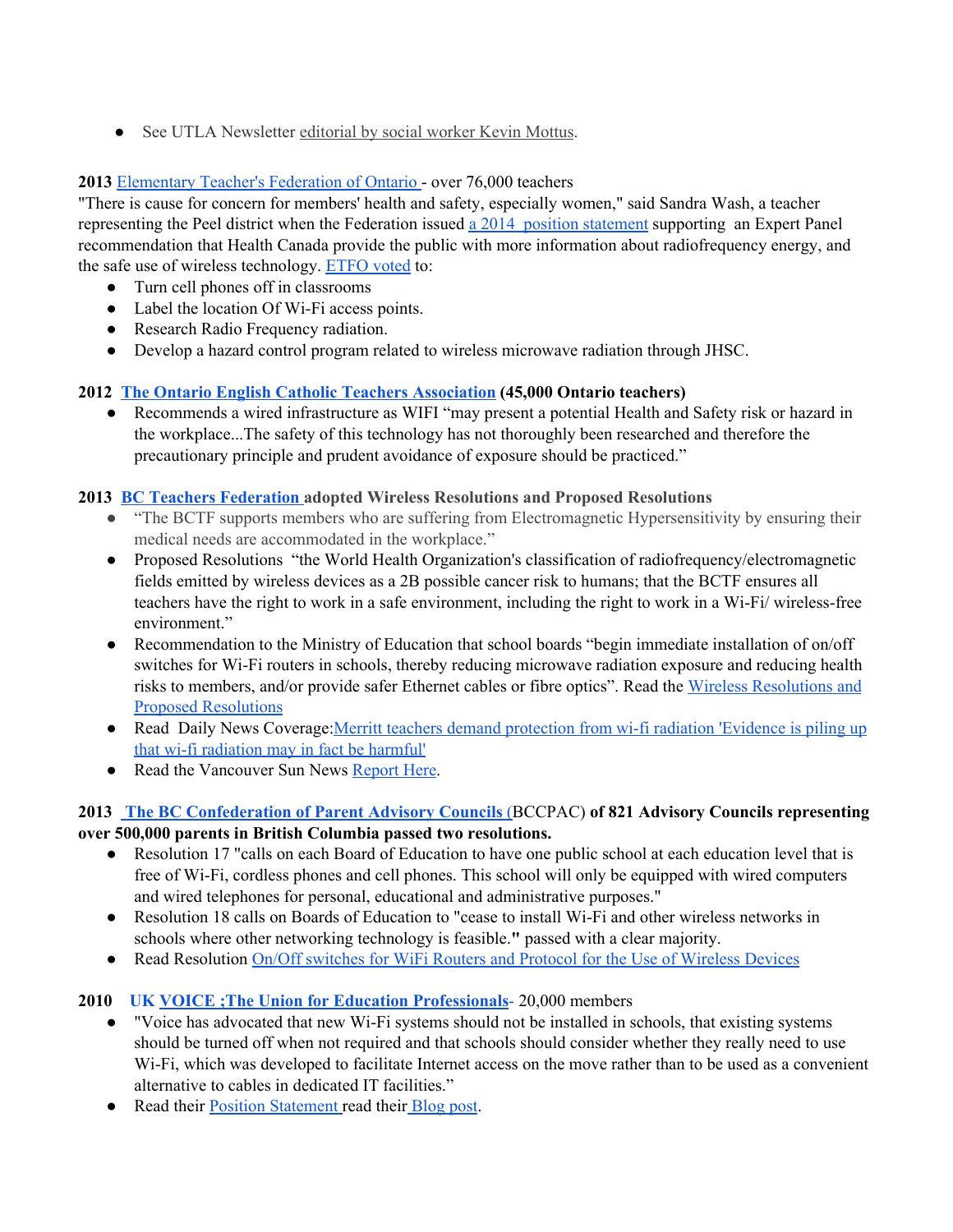• See UTLA Newsletter [editorial](http://www.utla.net/system/files/unitedteacher/2013/UTLA_Sept_2013.pdf) by social worker Kevin Mottus.

#### **2013** [Elementary](http://annualmeeting.ca/wp-content/uploads/2013/07/Session-71.pdf) Teacher's Federation of Ontario - over 76,000 teachers

"There is cause for concern for members' health and safety, especially women," said Sandra Wash, a teacher representing the Peel district when the Federation issue[d](http://www.etfo.ca/MediaRoom/MediaReleases/Pages/ETFO%20Supports%20Recommendation%20that%20Health%20Canada%20Improve%20Communications%20Regarding%20Safe%20Use%20of%20Wireless%20Technology.aspx) a 2014 position [statement](http://www.etfo.ca/MediaRoom/MediaReleases/Pages/ETFO%20Supports%20Recommendation%20that%20Health%20Canada%20Improve%20Communications%20Regarding%20Safe%20Use%20of%20Wireless%20Technology.aspx) supporting an Expert Panel recommendation that Health Canada provide the public with more information about radiofrequency energy, and the safe use of wireless technology. [ETFO](http://www.newswire.ca/en/story/1211257/ontario-teachers-union-wants-cell-phones-turned-off-in-the-classroom) voted to:

- Turn cell phones off in classrooms
- Label the location Of Wi-Fi access points.
- Research Radio Frequency radiation.
- Develop a hazard control program related to wireless microwave radiation through JHSC.

# **2012 The Ontario English Catholic Teachers [Association](http://www.oecta.on.ca/wps/wcm/connect/6a665c0049fedbee85919db62552ca8d/WiFipositionpaper2.pdf?MOD=AJPERES&CACHEID=6a665c0049fedbee85919db62552ca8d) (45,000 Ontario teachers)**<br>**•** Recommends a wired infrastructure as WIFI "may present a potential Health and

Recommends a wired infrastructure as WIFI "may present a potential Health and Safety risk or hazard in the workplace...The safety of this technology has not thoroughly been researched and therefore the precautionary principle and prudent avoidance of exposure should be practiced."

#### **[2013](http://www.safeschool.ca/uploads/WiFipositionpaper2.pdf) BC Teachers [Federation](http://www.safeschool.ca/uploads/WiFipositionpaper2.pdf) adopted Wireless [Resolutions](http://www.safeschool.ca/uploads/WiFipositionpaper2.pdf) and Proposed Resolutions**

- "The BCTF supports members who are suffering from Electromagnetic [Hypersensitivity](http://www.safeschool.ca/uploads/WiFipositionpaper2.pdf) by ensuring their medical needs are [accommodated](http://www.safeschool.ca/uploads/WiFipositionpaper2.pdf) in the workplace."
- Proposed Resolutions "the World Health Organization's classification of radiofrequency/electromagnetic fields emitted by wireless devices as a 2B possible cancer risk to humans; that the BCTF ensures all teachers have the right to work in a safe environment, including the right to work in a Wi-Fi/ wireless-free environment."
- Recommendation to the Ministry of Education that school boards "begin immediate installation of on/off switches for Wi-Fi routers in schools, thereby reducing microwave radiation exposure and reducing health risks to members, and/or provide safer Ethernet cables or fibre optics". Read the [W](http://www.safeinschool.org/2013/03/electrohypersensitivity-ehs-recognized.html)ireless [Resolutions](http://www.safeinschool.org/2013/03/electrohypersensitivity-ehs-recognized.html) and Proposed [Resolutions](http://www.safeinschool.org/2013/03/electrohypersensitivity-ehs-recognized.html)
- Read Daily News Coverage: Merritt teachers demand [protection](http://www.kamloopsnews.ca/news/city-region/merritt-teachers-demand-protection-from-wi-fi-radiation-1.1223803) from wi-fi radiation 'Evidence is piling up that wi-fi [radiation](http://www.kamloopsnews.ca/news/city-region/merritt-teachers-demand-protection-from-wi-fi-radiation-1.1223803) may in fact be harmful'
- Read the Vancouver Sun News [Report](http://blogs.vancouversun.com/2013/03/20/b-c-teachers-take-small-step-in-wi-fi-debate/) Here.

#### **2013 The BC [Confederation](http://www.safeinschool.org/2013/05/new-wifi-resolution-adopted-by-bccpac.html) of Parent Advisory Councils** [\(](http://www.safeinschool.org/2013/05/new-wifi-resolution-adopted-by-bccpac.html) BCCPAC) **of 821 Advisory Councils representing over 500,000 parents in British Columbia passed two resolutions.**

- Resolution 17 "calls on each Board of Education to have one public school at each education level that is free of Wi-Fi, cordless phones and cell phones. This school will only be equipped with wired computers and wired telephones for personal, educational and administrative purposes."
- Resolution 18 calls on Boards of Education to "cease to install Wi-Fi and other wireless networks in schools where other networking technology is feasible.**"** passed with a clear majority.
- Read Resolution On/Off switches for WiFi Routers and Protocol for the Use of [Wireless](http://bccpac.bc.ca/resolutions/onoff-switches-wifi-routers-and-protocol-use-wireless-devices) Devices

#### **[2010](http://www.safeschool.ca/uploads/WiFipositionpaper2.pdf) [UK](http://blog.voicetheunion.org.uk/?p=1097) VOICE ;The Union for Education [Professionals](http://blog.voicetheunion.org.uk/?p=1097)**[-](http://blog.voicetheunion.org.uk/?p=1097) 20,000 [members](http://www.safeschool.ca/uploads/WiFipositionpaper2.pdf)

- "Voice has [advocated](http://www.safeschool.ca/uploads/WiFipositionpaper2.pdf) that new Wi-Fi systems should not be installed in schools, that existing systems should be turned off when not required and that schools should [consider](http://www.safeschool.ca/uploads/WiFipositionpaper2.pdf) whether they really need to use Wi-Fi, which was developed to facilitate Internet access on the move rather than to be used as a [convenient](http://www.safeschool.ca/uploads/WiFipositionpaper2.pdf) [alternative](http://www.safeschool.ca/uploads/WiFipositionpaper2.pdf) to cables in dedicated IT facilities."
- Read their Position [Statement](http://blog.voicetheunion.org.uk/?p=1097) read [their](http://blog.voicetheunion.org.uk/?p=1097) [Blog](http://blog.voicetheunion.org.uk/?p=1097) post.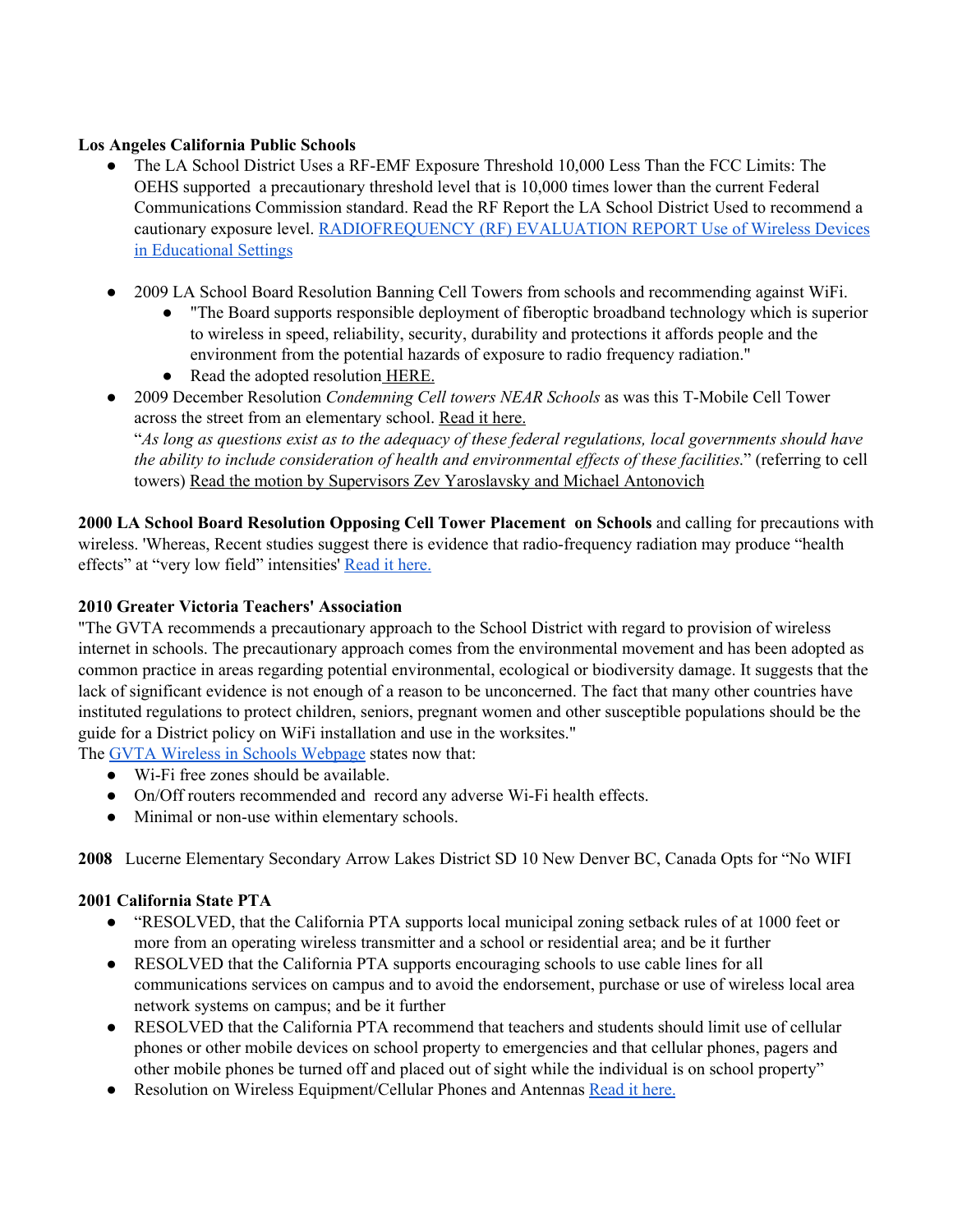#### **Los Angeles California Public Schools**

- The LA School District Uses a RF-EMF Exposure Threshold 10,000 Less Than the FCC Limits: The OEHS supported a precautionary threshold level that is 10,000 times lower than the current Federal Communications Commission standard. Read the RF Report the LA School District Used to recommend a cautionary exposure level. [RADIOFREQUENCY](http://nebula.wsimg.com/bd9036dad3575d0f8b21d68a33f752fb?AccessKeyId=045114F8E0676B9465FB&disposition=0&alloworigin=1) (RF) EVALUATION REPORT Use of Wireless Devices in [Educational](http://nebula.wsimg.com/bd9036dad3575d0f8b21d68a33f752fb?AccessKeyId=045114F8E0676B9465FB&disposition=0&alloworigin=1) Settings
- 2009 LA School Board Resolution Banning Cell Towers from schools and recommending against WiFi.
	- "The Board supports responsible deployment of fiberoptic broadband technology which is superior to wireless in speed, reliability, security, durability and protections it affords people and the environment from the potential hazards of exposure to radio frequency radiation."
	- Read the adopted resolution [HERE.](http://nebula.wsimg.com/3c2120e4ccb91d875f96449107871017?AccessKeyId=045114F8E0676B9465FB&disposition=0&alloworigin=1)
- 2009 December Resolution *Condemning Cell towers NEAR Schools* as was this T-Mobile Cell Tower across the street from an elementary schoo[l.](http://nebula.wsimg.com/624adf21d8a7fcfb8ae37e2743b139d6?AccessKeyId=045114F8E0676B9465FB&disposition=0&alloworigin=1) [Read](http://nebula.wsimg.com/624adf21d8a7fcfb8ae37e2743b139d6?AccessKeyId=045114F8E0676B9465FB&disposition=0&alloworigin=1) it here.

["](http://nebula.wsimg.com/624adf21d8a7fcfb8ae37e2743b139d6?AccessKeyId=045114F8E0676B9465FB&disposition=0&alloworigin=1)As long as questions exist as to the adequacy of these federal regulations, local [governments](http://nebula.wsimg.com/624adf21d8a7fcfb8ae37e2743b139d6?AccessKeyId=045114F8E0676B9465FB&disposition=0&alloworigin=1) should have *the ability to include consideration of health and [environmental](http://nebula.wsimg.com/624adf21d8a7fcfb8ae37e2743b139d6?AccessKeyId=045114F8E0676B9465FB&disposition=0&alloworigin=1) effects of these facilities*." [\(referring](http://nebula.wsimg.com/624adf21d8a7fcfb8ae37e2743b139d6?AccessKeyId=045114F8E0676B9465FB&disposition=0&alloworigin=1) to cell [towers\)](http://nebula.wsimg.com/624adf21d8a7fcfb8ae37e2743b139d6?AccessKeyId=045114F8E0676B9465FB&disposition=0&alloworigin=1) Read the motion by Supervisors Zev [Yaroslavsky](http://nebula.wsimg.com/4fc3c9963fdc77793e62653ba2083ffd?AccessKeyId=045114F8E0676B9465FB&disposition=0&alloworigin=1) and Michael Antonovich

**2000 LA School Board [Resolution](http://nebula.wsimg.com/54045122e4143e4f31cdd7827aa9391c?AccessKeyId=045114F8E0676B9465FB&disposition=0&alloworigin=1) Opposing Cell Tower Placement on Schools** and calling for precautions with wireless. 'Whereas, Recent studies suggest there is evidence that radio-frequency radiation may produce "health effects" at "very low field" intensities' [Read](http://nebula.wsimg.com/54045122e4143e4f31cdd7827aa9391c?AccessKeyId=045114F8E0676B9465FB&disposition=0&alloworigin=1) it here.

#### **2010 Greater Victoria Teachers' Association**

"The GVTA recommends a precautionary approach to the School District with regard to provision of wireless internet in schools. The precautionary approach comes from the environmental movement and has been adopted as common practice in areas regarding potential environmental, ecological or biodiversity damage. It suggests that the lack of significant evidence is not enough of a reason to be unconcerned. The fact that many other countries have instituted regulations to protect children, seniors, pregnant women and other susceptible populations should be the guide for a District policy on WiFi installation and use in the worksites."

The GVTA Wireless in Schools [Webpage](http://gvta.net/index.php/health-safety/2013-02-20-23-22-17) states now that:

- Wi-Fi free zones should be available.
- On/Off routers recommended and record any adverse Wi-Fi health effects.
- Minimal or non-use within elementary schools.

**2008** Lucerne Elementary Secondary Arrow Lakes District SD 10 New Denver BC, Canada Opts for "No WIFI

#### **2001 California State PTA**

- "RESOLVED, that the California PTA supports local municipal zoning setback rules of at 1000 feet or more from an operating wireless transmitter and a school or residential area; and be it further
- RESOLVED that the California PTA supports encouraging schools to use cable lines for all communications services on campus and to avoid the endorsement, purchase or use of wireless local area network systems on campus; and be it further
- RESOLVED that the California PTA recommend that teachers and students should limit use of cellular phones or other mobile devices on school property to emergencies and that cellular phones, pagers and other mobile phones be turned off and placed out of sight while the individual is on school property"
- Resolution on Wireless Equipment/Cellular Phones and Antennas [Read](http://www.wirelessimpacts.org/impacts/fletcher_hills.html) it here.